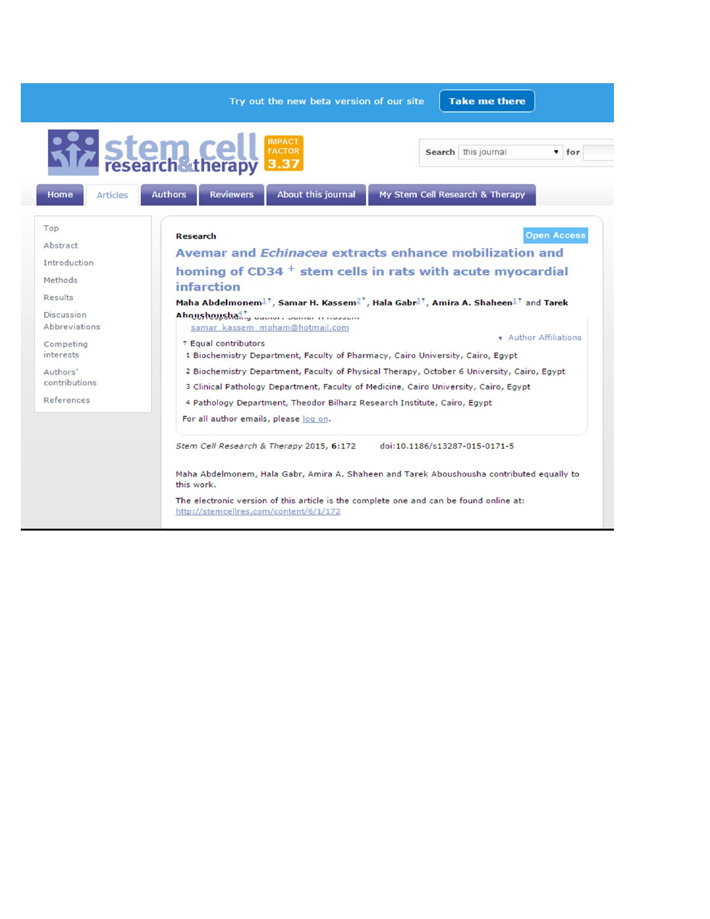|                                | <b>Take me there</b><br>Try out the new beta version of our site                                                                                                                                                                                                                                                                                 |  |
|--------------------------------|--------------------------------------------------------------------------------------------------------------------------------------------------------------------------------------------------------------------------------------------------------------------------------------------------------------------------------------------------|--|
|                                | <b>IMPACT</b><br><b>Stem Cell</b><br>research therapy<br><b>FACTOR</b><br>Search this journal<br>$\overline{\phantom{a}}$ for<br>3.37                                                                                                                                                                                                            |  |
| <b>Home</b><br><b>Articles</b> | About this journal<br>My Stem Cell Research & Therapy<br><b>Authors</b><br><b>Reviewers</b>                                                                                                                                                                                                                                                      |  |
| Top                            | <b>Open Access</b><br><b>Research</b>                                                                                                                                                                                                                                                                                                            |  |
| Abstract                       |                                                                                                                                                                                                                                                                                                                                                  |  |
| Introduction                   | Avemar and <i>Echinacea</i> extracts enhance mobilization and<br>homing of CD34 $^+$ stem cells in rats with acute myocardial<br>infarction<br>Maha Abdelmonem $1^{\dagger}$ , Samar H. Kassem $2^*$ , Hala Gabr $2^{\dagger}$ , Amira A. Shaheen $1^{\dagger}$ and Tarek<br>Ahoushoushang addition comer in Nesson                              |  |
|                                |                                                                                                                                                                                                                                                                                                                                                  |  |
| Methods                        |                                                                                                                                                                                                                                                                                                                                                  |  |
| Results                        |                                                                                                                                                                                                                                                                                                                                                  |  |
| <b>Discussion</b>              |                                                                                                                                                                                                                                                                                                                                                  |  |
| <b>Abbreviations</b>           | samar kassem moham@hotmail.com                                                                                                                                                                                                                                                                                                                   |  |
| Competing                      | <b>v</b> Author Affiliations<br><sup>†</sup> Equal contributors                                                                                                                                                                                                                                                                                  |  |
| <i>interests</i>               | 1 Biochemistry Department, Faculty of Pharmacy, Cairo University, Cairo, Egypt<br>2 Biochemistry Department, Faculty of Physical Therapy, October 6 University, Cairo, Egypt<br>3 Clinical Pathology Department, Faculty of Medicine, Cairo University, Cairo, Egypt<br>4 Pathology Department, Theodor Bilharz Research Institute, Cairo, Egypt |  |
| Authors'                       |                                                                                                                                                                                                                                                                                                                                                  |  |
| contributions                  |                                                                                                                                                                                                                                                                                                                                                  |  |
| References                     |                                                                                                                                                                                                                                                                                                                                                  |  |
|                                |                                                                                                                                                                                                                                                                                                                                                  |  |
|                                | For all author emails, please log on.                                                                                                                                                                                                                                                                                                            |  |
|                                | Stem Cell Research & Therapy 2015, 6:172<br>doi:10.1186/s13287-015-0171-5                                                                                                                                                                                                                                                                        |  |
|                                | Maha Abdelmonem, Hala Gabr, Amira A. Shaheen and Tarek Aboushousha contributed equally to<br>this work.                                                                                                                                                                                                                                          |  |
|                                | The electronic version of this article is the complete one and can be found online at:<br>http://stemcellres.com/content/6/1/172                                                                                                                                                                                                                 |  |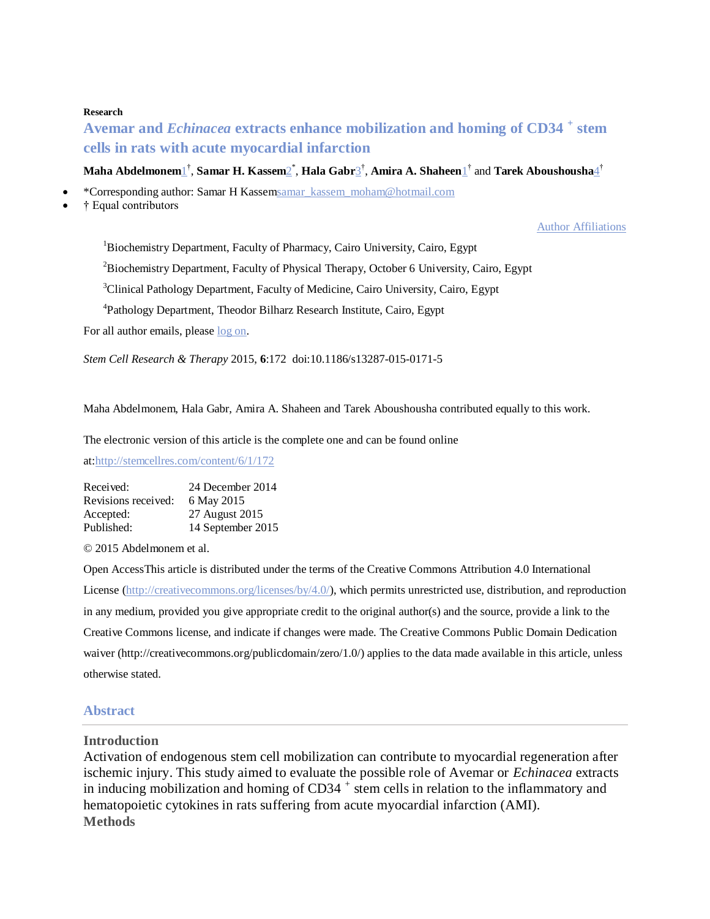#### **Research**

# **Avemar and** *Echinacea* **extracts enhance mobilization and homing of CD34 <sup>+</sup> stem cells in rats with acute myocardial infarction**

#### $\bm{\mathrm{Maha\text{-}Abdelmonen\_}^{\dagger}}, \bm{\mathrm{Samar\text{-}H. Kassen\_}^{\dagger}}, \bm{\mathrm{Hala\text{-}Gabr\_}^{\dagger}}, \bm{\mathrm{Amira\text{-}A. Shaheen\_}^{\dagger}} \text{ and~Tarek\text{-}Aboushousha\_}^{\dagger}$

\*Corresponding author: Samar H Kasse[msamar\\_kassem\\_moham@hotmail.com](mailto:samar_kassem_moham@hotmail.com)

† Equal contributors

#### Author [Affiliations](http://www.stemcellres.com/content/6/1/172)

<sup>1</sup>Biochemistry Department, Faculty of Pharmacy, Cairo University, Cairo, Egypt

<sup>2</sup>Biochemistry Department, Faculty of Physical Therapy, October 6 University, Cairo, Egypt

<sup>3</sup>Clinical Pathology Department, Faculty of Medicine, Cairo University, Cairo, Egypt

4 Pathology Department, Theodor Bilharz Research Institute, Cairo, Egypt

For all author emails, please  $log$  on.

*Stem Cell Research & Therapy* 2015, **6**:172 doi:10.1186/s13287-015-0171-5

Maha Abdelmonem, Hala Gabr, Amira A. Shaheen and Tarek Aboushousha contributed equally to this work.

The electronic version of this article is the complete one and can be found online

at[:http://stemcellres.com/content/6/1/172](http://stemcellres.com/content/6/1/172)

| Received:           | 24 December 2014  |
|---------------------|-------------------|
| Revisions received: | 6 May 2015        |
| Accepted:           | 27 August 2015    |
| Published:          | 14 September 2015 |

© 2015 Abdelmonem et al.

Open AccessThis article is distributed under the terms of the Creative Commons Attribution 4.0 International License [\(http://creativecommons.org/licenses/by/4.0/\)](http://creativecommons.org/licenses/by/4.0/), which permits unrestricted use, distribution, and reproduction in any medium, provided you give appropriate credit to the original author(s) and the source, provide a link to the Creative Commons license, and indicate if changes were made. The Creative Commons Public Domain Dedication waiver (http://creativecommons.org/publicdomain/zero/1.0/) applies to the data made available in this article, unless otherwise stated.

#### **Abstract**

#### **Introduction**

Activation of endogenous stem cell mobilization can contribute to myocardial regeneration after ischemic injury. This study aimed to evaluate the possible role of Avemar or *Echinacea* extracts in inducing mobilization and homing of CD34<sup>+</sup> stem cells in relation to the inflammatory and hematopoietic cytokines in rats suffering from acute myocardial infarction (AMI). **Methods**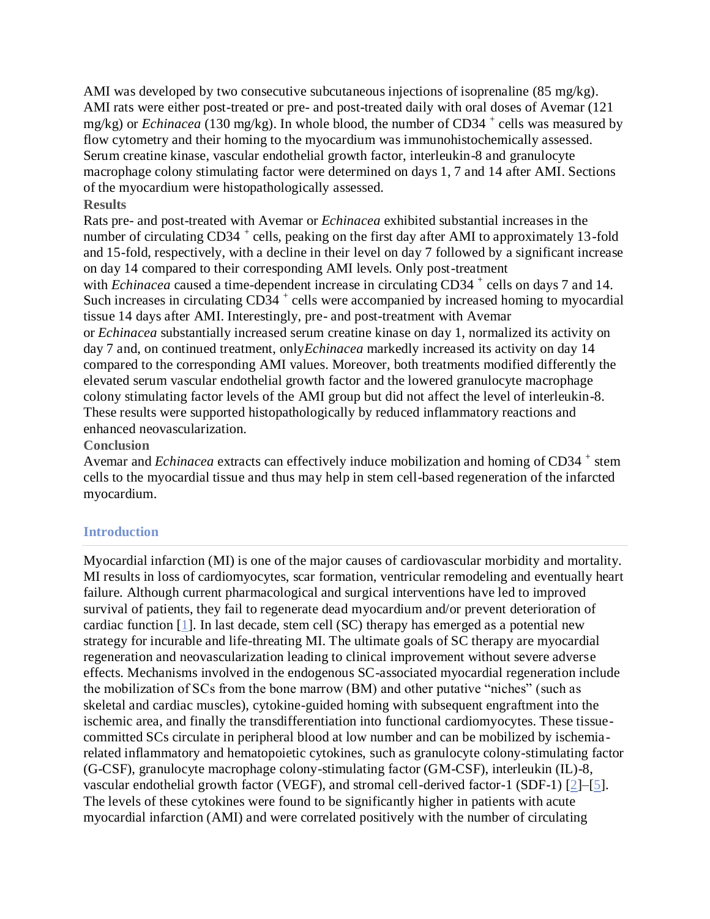AMI was developed by two consecutive subcutaneous injections of isoprenaline  $(85 \text{ mg/kg})$ . AMI rats were either post-treated or pre- and post-treated daily with oral doses of Avemar (121 mg/kg) or *Echinacea* (130 mg/kg). In whole blood, the number of CD34<sup>+</sup> cells was measured by flow cytometry and their homing to the myocardium was immunohistochemically assessed. Serum creatine kinase, vascular endothelial growth factor, interleukin-8 and granulocyte macrophage colony stimulating factor were determined on days 1, 7 and 14 after AMI. Sections of the myocardium were histopathologically assessed.

# **Results**

Rats pre- and post-treated with Avemar or *Echinacea* exhibited substantial increases in the number of circulating CD34<sup>+</sup> cells, peaking on the first day after AMI to approximately 13-fold and 15-fold, respectively, with a decline in their level on day 7 followed by a significant increase on day 14 compared to their corresponding AMI levels. Only post-treatment with *Echinacea* caused a time-dependent increase in circulating CD34<sup>+</sup> cells on days 7 and 14. Such increases in circulating  $CD34^+$  cells were accompanied by increased homing to myocardial tissue 14 days after AMI. Interestingly, pre- and post-treatment with Avemar or *Echinacea* substantially increased serum creatine kinase on day 1, normalized its activity on day 7 and, on continued treatment, only*Echinacea* markedly increased its activity on day 14 compared to the corresponding AMI values. Moreover, both treatments modified differently the elevated serum vascular endothelial growth factor and the lowered granulocyte macrophage colony stimulating factor levels of the AMI group but did not affect the level of interleukin-8. These results were supported histopathologically by reduced inflammatory reactions and enhanced neovascularization.

#### **Conclusion**

Avemar and *Echinacea* extracts can effectively induce mobilization and homing of CD34<sup>+</sup> stem cells to the myocardial tissue and thus may help in stem cell-based regeneration of the infarcted myocardium.

## **Introduction**

Myocardial infarction (MI) is one of the major causes of cardiovascular morbidity and mortality. MI results in loss of cardiomyocytes, scar formation, ventricular remodeling and eventually heart failure. Although current pharmacological and surgical interventions have led to improved survival of patients, they fail to regenerate dead myocardium and/or prevent deterioration of cardiac function [\[1\]](http://www.stemcellres.com/content/6/1/172#B1). In last decade, stem cell (SC) therapy has emerged as a potential new strategy for incurable and life-threating MI. The ultimate goals of SC therapy are myocardial regeneration and neovascularization leading to clinical improvement without severe adverse effects. Mechanisms involved in the endogenous SC-associated myocardial regeneration include the mobilization of SCs from the bone marrow (BM) and other putative "niches" (such as skeletal and cardiac muscles), cytokine-guided homing with subsequent engraftment into the ischemic area, and finally the transdifferentiation into functional cardiomyocytes. These tissuecommitted SCs circulate in peripheral blood at low number and can be mobilized by ischemiarelated inflammatory and hematopoietic cytokines, such as granulocyte colony-stimulating factor (G-CSF), granulocyte macrophage colony-stimulating factor (GM-CSF), interleukin (IL)-8, vascular endothelial growth factor (VEGF), and stromal cell-derived factor-1 (SDF-1) [\[2\]](http://www.stemcellres.com/content/6/1/172#B2)–[\[5\]](http://www.stemcellres.com/content/6/1/172#B5). The levels of these cytokines were found to be significantly higher in patients with acute myocardial infarction (AMI) and were correlated positively with the number of circulating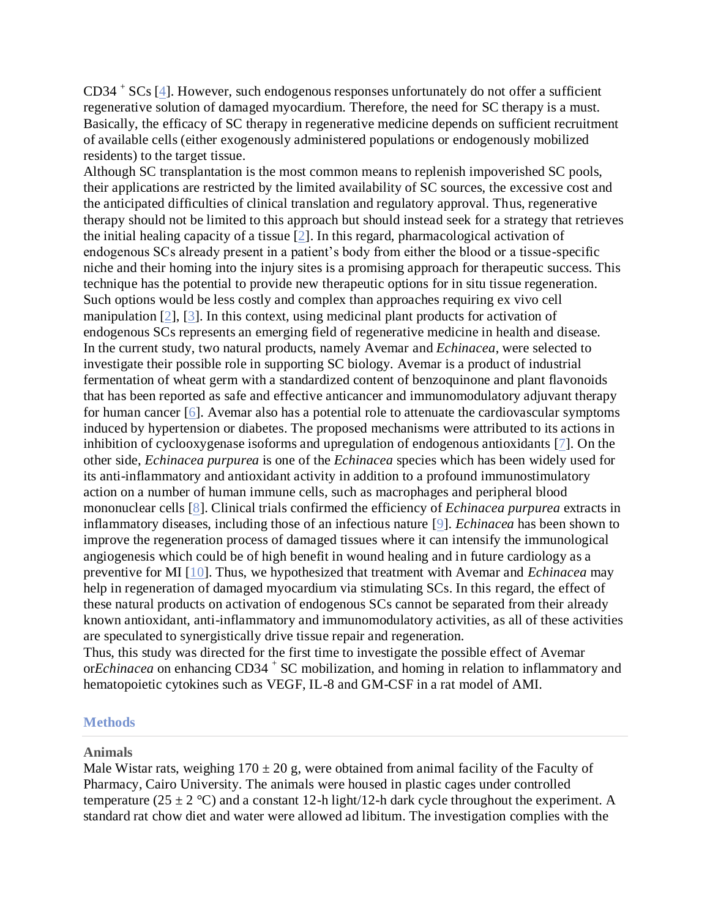CD34 <sup>+</sup> SCs [\[4\]](http://www.stemcellres.com/content/6/1/172#B4). However, such endogenous responses unfortunately do not offer a sufficient regenerative solution of damaged myocardium. Therefore, the need for SC therapy is a must. Basically, the efficacy of SC therapy in regenerative medicine depends on sufficient recruitment of available cells (either exogenously administered populations or endogenously mobilized residents) to the target tissue.

Although SC transplantation is the most common means to replenish impoverished SC pools, their applications are restricted by the limited availability of SC sources, the excessive cost and the anticipated difficulties of clinical translation and regulatory approval. Thus, regenerative therapy should not be limited to this approach but should instead seek for a strategy that retrieves the initial healing capacity of a tissue [\[2\]](http://www.stemcellres.com/content/6/1/172#B2). In this regard, pharmacological activation of endogenous SCs already present in a patient's body from either the blood or a tissue-specific niche and their homing into the injury sites is a promising approach for therapeutic success. This technique has the potential to provide new therapeutic options for in situ tissue regeneration. Such options would be less costly and complex than approaches requiring ex vivo cell manipulation [\[2\]](http://www.stemcellres.com/content/6/1/172#B2), [\[3\]](http://www.stemcellres.com/content/6/1/172#B3). In this context, using medicinal plant products for activation of endogenous SCs represents an emerging field of regenerative medicine in health and disease. In the current study, two natural products, namely Avemar and *Echinacea*, were selected to investigate their possible role in supporting SC biology. Avemar is a product of industrial fermentation of wheat germ with a standardized content of benzoquinone and plant flavonoids that has been reported as safe and effective anticancer and immunomodulatory adjuvant therapy for human cancer [\[6\]](http://www.stemcellres.com/content/6/1/172#B6). Avemar also has a potential role to attenuate the cardiovascular symptoms induced by hypertension or diabetes. The proposed mechanisms were attributed to its actions in inhibition of cyclooxygenase isoforms and upregulation of endogenous antioxidants [\[7\]](http://www.stemcellres.com/content/6/1/172#B7). On the other side, *Echinacea purpurea* is one of the *Echinacea* species which has been widely used for its anti-inflammatory and antioxidant activity in addition to a profound immunostimulatory action on a number of human immune cells, such as macrophages and peripheral blood mononuclear cells [\[8\]](http://www.stemcellres.com/content/6/1/172#B8). Clinical trials confirmed the efficiency of *Echinacea purpurea* extracts in inflammatory diseases, including those of an infectious nature [\[9\]](http://www.stemcellres.com/content/6/1/172#B9). *Echinacea* has been shown to improve the regeneration process of damaged tissues where it can intensify the immunological angiogenesis which could be of high benefit in wound healing and in future cardiology as a preventive for MI [\[10\]](http://www.stemcellres.com/content/6/1/172#B10). Thus, we hypothesized that treatment with Avemar and *Echinacea* may help in regeneration of damaged myocardium via stimulating SCs. In this regard, the effect of these natural products on activation of endogenous SCs cannot be separated from their already known antioxidant, anti-inflammatory and immunomodulatory activities, as all of these activities are speculated to synergistically drive tissue repair and regeneration.

Thus, this study was directed for the first time to investigate the possible effect of Avemar or*Echinacea* on enhancing CD34 <sup>+</sup> SC mobilization, and homing in relation to inflammatory and hematopoietic cytokines such as VEGF, IL-8 and GM-CSF in a rat model of AMI.

#### **Methods**

#### **Animals**

Male Wistar rats, weighing  $170 \pm 20$  g, were obtained from animal facility of the Faculty of Pharmacy, Cairo University. The animals were housed in plastic cages under controlled temperature (25  $\pm$  2 °C) and a constant 12-h light/12-h dark cycle throughout the experiment. A standard rat chow diet and water were allowed ad libitum. The investigation complies with the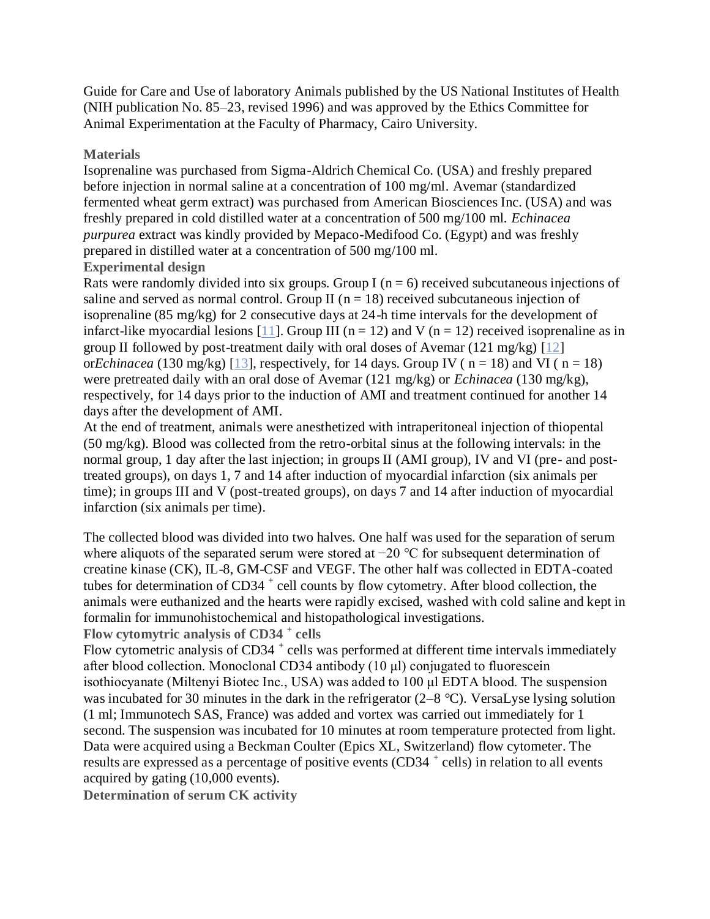Guide for Care and Use of laboratory Animals published by the US National Institutes of Health (NIH publication No. 85–23, revised 1996) and was approved by the Ethics Committee for Animal Experimentation at the Faculty of Pharmacy, Cairo University.

#### **Materials**

Isoprenaline was purchased from Sigma-Aldrich Chemical Co. (USA) and freshly prepared before injection in normal saline at a concentration of 100 mg/ml. Avemar (standardized fermented wheat germ extract) was purchased from American Biosciences Inc. (USA) and was freshly prepared in cold distilled water at a concentration of 500 mg/100 ml. *Echinacea purpurea* extract was kindly provided by Mepaco-Medifood Co. (Egypt) and was freshly prepared in distilled water at a concentration of 500 mg/100 ml.

## **Experimental design**

Rats were randomly divided into six groups. Group I ( $n = 6$ ) received subcutaneous injections of saline and served as normal control. Group II ( $n = 18$ ) received subcutaneous injection of isoprenaline (85 mg/kg) for 2 consecutive days at 24-h time intervals for the development of infarct-like myocardial lesions [\[11\]](http://www.stemcellres.com/content/6/1/172#B11). Group III ( $n = 12$ ) and V ( $n = 12$ ) received isoprenaline as in group II followed by post-treatment daily with oral doses of Avemar  $(121 \text{ mg/kg})$  [\[12\]](http://www.stemcellres.com/content/6/1/172#B12) or*Echinacea* (130 mg/kg) [\[13\]](http://www.stemcellres.com/content/6/1/172#B13), respectively, for 14 days. Group IV ( $n = 18$ ) and VI ( $n = 18$ ) were pretreated daily with an oral dose of Avemar (121 mg/kg) or *Echinacea* (130 mg/kg), respectively, for 14 days prior to the induction of AMI and treatment continued for another 14 days after the development of AMI.

At the end of treatment, animals were anesthetized with intraperitoneal injection of thiopental (50 mg/kg). Blood was collected from the retro-orbital sinus at the following intervals: in the normal group, 1 day after the last injection; in groups II (AMI group), IV and VI (pre- and posttreated groups), on days 1, 7 and 14 after induction of myocardial infarction (six animals per time); in groups III and V (post-treated groups), on days 7 and 14 after induction of myocardial infarction (six animals per time).

The collected blood was divided into two halves. One half was used for the separation of serum where aliquots of the separated serum were stored at −20 °C for subsequent determination of creatine kinase (CK), IL-8, GM-CSF and VEGF. The other half was collected in EDTA-coated tubes for determination of CD34<sup>+</sup> cell counts by flow cytometry. After blood collection, the animals were euthanized and the hearts were rapidly excised, washed with cold saline and kept in formalin for immunohistochemical and histopathological investigations.

**Flow cytomytric analysis of CD34 <sup>+</sup> cells**

Flow cytometric analysis of CD34<sup>+</sup> cells was performed at different time intervals immediately after blood collection. Monoclonal CD34 antibody (10 μl) conjugated to fluorescein isothiocyanate (Miltenyi Biotec Inc., USA) was added to 100 μl EDTA blood. The suspension was incubated for 30 minutes in the dark in the refrigerator (2–8 °C). VersaLyse lysing solution (1 ml; Immunotech SAS, France) was added and vortex was carried out immediately for 1 second. The suspension was incubated for 10 minutes at room temperature protected from light. Data were acquired using a Beckman Coulter (Epics XL, Switzerland) flow cytometer. The results are expressed as a percentage of positive events (CD34<sup>+</sup> cells) in relation to all events acquired by gating (10,000 events).

**Determination of serum CK activity**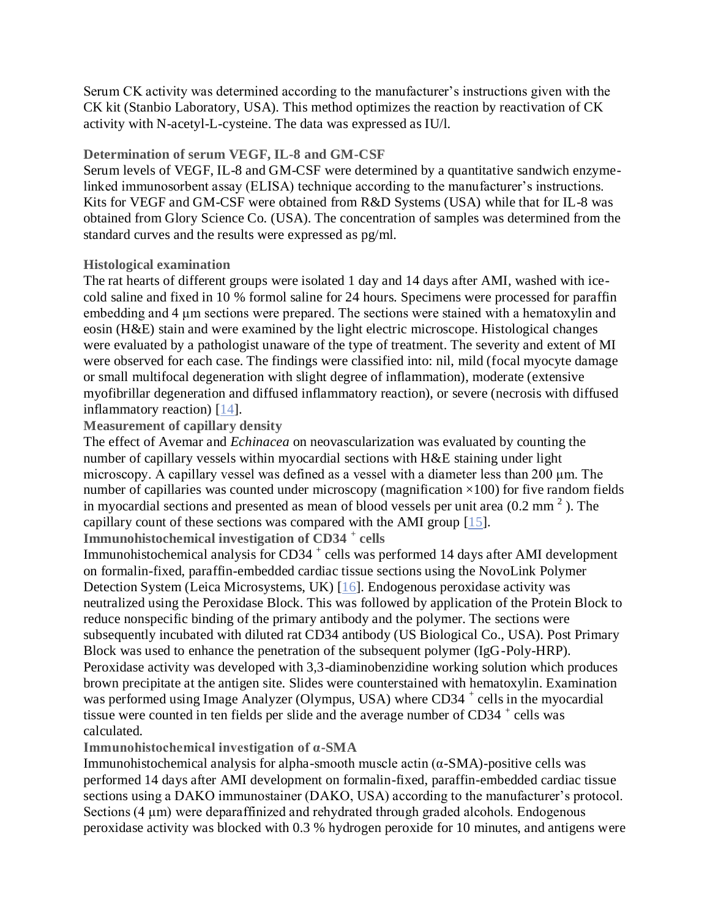Serum CK activity was determined according to the manufacturer's instructions given with the CK kit (Stanbio Laboratory, USA). This method optimizes the reaction by reactivation of CK activity with N-acetyl-L-cysteine. The data was expressed as IU/l.

# **Determination of serum VEGF, IL-8 and GM-CSF**

Serum levels of VEGF, IL-8 and GM-CSF were determined by a quantitative sandwich enzymelinked immunosorbent assay (ELISA) technique according to the manufacturer's instructions. Kits for VEGF and GM-CSF were obtained from R&D Systems (USA) while that for IL-8 was obtained from Glory Science Co. (USA). The concentration of samples was determined from the standard curves and the results were expressed as pg/ml.

# **Histological examination**

The rat hearts of different groups were isolated 1 day and 14 days after AMI, washed with icecold saline and fixed in 10 % formol saline for 24 hours. Specimens were processed for paraffin embedding and 4 μm sections were prepared. The sections were stained with a hematoxylin and eosin (H&E) stain and were examined by the light electric microscope. Histological changes were evaluated by a pathologist unaware of the type of treatment. The severity and extent of MI were observed for each case. The findings were classified into: nil, mild (focal myocyte damage or small multifocal degeneration with slight degree of inflammation), moderate (extensive myofibrillar degeneration and diffused inflammatory reaction), or severe (necrosis with diffused inflammatory reaction) [\[14\]](http://www.stemcellres.com/content/6/1/172#B14).

# **Measurement of capillary density**

The effect of Avemar and *Echinacea* on neovascularization was evaluated by counting the number of capillary vessels within myocardial sections with H&E staining under light microscopy. A capillary vessel was defined as a vessel with a diameter less than 200 μm. The number of capillaries was counted under microscopy (magnification  $\times$ 100) for five random fields in myocardial sections and presented as mean of blood vessels per unit area  $(0.2 \text{ mm}^2)$ . The capillary count of these sections was compared with the AMI group [\[15\]](http://www.stemcellres.com/content/6/1/172#B15).

**Immunohistochemical investigation of CD34 <sup>+</sup> cells**

Immunohistochemical analysis for CD34<sup>+</sup> cells was performed 14 days after AMI development on formalin-fixed, paraffin-embedded cardiac tissue sections using the NovoLink Polymer Detection System (Leica Microsystems, UK) [\[16\]](http://www.stemcellres.com/content/6/1/172#B16). Endogenous peroxidase activity was neutralized using the Peroxidase Block. This was followed by application of the Protein Block to reduce nonspecific binding of the primary antibody and the polymer. The sections were subsequently incubated with diluted rat CD34 antibody (US Biological Co., USA). Post Primary Block was used to enhance the penetration of the subsequent polymer (IgG-Poly-HRP). Peroxidase activity was developed with 3,3-diaminobenzidine working solution which produces brown precipitate at the antigen site. Slides were counterstained with hematoxylin. Examination was performed using Image Analyzer (Olympus, USA) where CD34<sup>+</sup> cells in the myocardial tissue were counted in ten fields per slide and the average number of CD34<sup>+</sup> cells was calculated.

**Immunohistochemical investigation of α-SMA**

Immunohistochemical analysis for alpha-smooth muscle actin  $(\alpha$ -SMA)-positive cells was performed 14 days after AMI development on formalin-fixed, paraffin-embedded cardiac tissue sections using a DAKO immunostainer (DAKO, USA) according to the manufacturer's protocol. Sections (4 μm) were deparaffinized and rehydrated through graded alcohols. Endogenous peroxidase activity was blocked with 0.3 % hydrogen peroxide for 10 minutes, and antigens were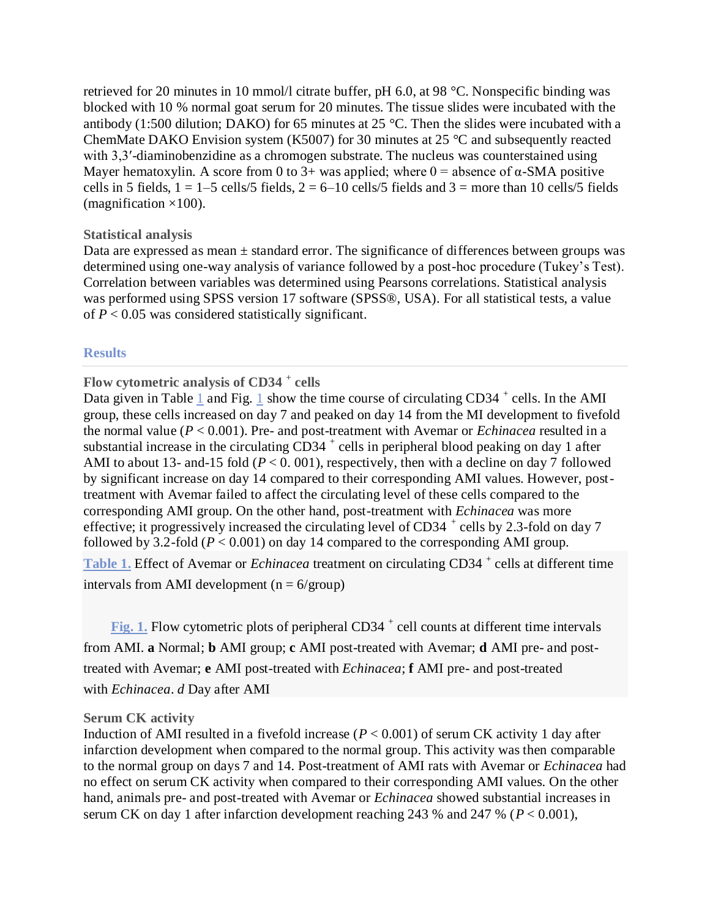retrieved for 20 minutes in 10 mmol/l citrate buffer, pH 6.0, at 98 °C. Nonspecific binding was blocked with 10 % normal goat serum for 20 minutes. The tissue slides were incubated with the antibody (1:500 dilution; DAKO) for 65 minutes at 25 °C. Then the slides were incubated with a ChemMate DAKO Envision system (K5007) for 30 minutes at 25 °C and subsequently reacted with 3,3'-diaminobenzidine as a chromogen substrate. The nucleus was counterstained using Mayer hematoxylin. A score from 0 to 3+ was applied; where  $0 =$  absence of  $\alpha$ -SMA positive cells in 5 fields,  $1 = 1-5$  cells/5 fields,  $2 = 6-10$  cells/5 fields and  $3 =$  more than 10 cells/5 fields (magnification  $\times$ 100).

#### **Statistical analysis**

Data are expressed as mean  $\pm$  standard error. The significance of differences between groups was determined using one-way analysis of variance followed by a post-hoc procedure (Tukey's Test). Correlation between variables was determined using Pearsons correlations. Statistical analysis was performed using SPSS version 17 software (SPSS®, USA). For all statistical tests, a value of  $P < 0.05$  was considered statistically significant.

#### **Results**

# **Flow cytometric analysis of CD34 <sup>+</sup> cells**

Data given in Table  $1$  and Fig. 1 show the time course of circulating CD34<sup>+</sup> cells. In the AMI group, these cells increased on day 7 and peaked on day 14 from the MI development to fivefold the normal value (*P* < 0.001). Pre- and post-treatment with Avemar or *Echinacea* resulted in a substantial increase in the circulating  $CD34$  + cells in peripheral blood peaking on day 1 after AMI to about 13- and-15 fold  $(P < 0.001)$ , respectively, then with a decline on day 7 followed by significant increase on day 14 compared to their corresponding AMI values. However, posttreatment with Avemar failed to affect the circulating level of these cells compared to the corresponding AMI group. On the other hand, post-treatment with *Echinacea* was more effective; it progressively increased the circulating level of CD34  $^+$  cells by 2.3-fold on day 7 followed by 3.2-fold  $(P < 0.001)$  on day 14 compared to the corresponding AMI group. [Table](http://www.stemcellres.com/content/6/1/172/table/T1) 1. Effect of Avemar or *Echinacea* treatment on circulating CD34<sup>+</sup> cells at different time

intervals from AMI development ( $n = 6$ /group)

[Fig.](http://www.stemcellres.com/content/6/1/172/figure/F1) 1. Flow cytometric plots of peripheral CD34<sup>+</sup> cell counts at different time intervals from AMI. **a** Normal; **b** AMI group; **c** AMI post-treated with Avemar; **d** AMI pre- and posttreated with Avemar; **e** AMI post-treated with *Echinacea*; **f** AMI pre- and post-treated with *Echinacea*. *d* Day after AMI

#### **Serum CK activity**

Induction of AMI resulted in a fivefold increase (*P* < 0.001) of serum CK activity 1 day after infarction development when compared to the normal group. This activity was then comparable to the normal group on days 7 and 14. Post-treatment of AMI rats with Avemar or *Echinacea* had no effect on serum CK activity when compared to their corresponding AMI values. On the other hand, animals pre- and post-treated with Avemar or *Echinacea* showed substantial increases in serum CK on day 1 after infarction development reaching 243 % and 247 % (*P* < 0.001),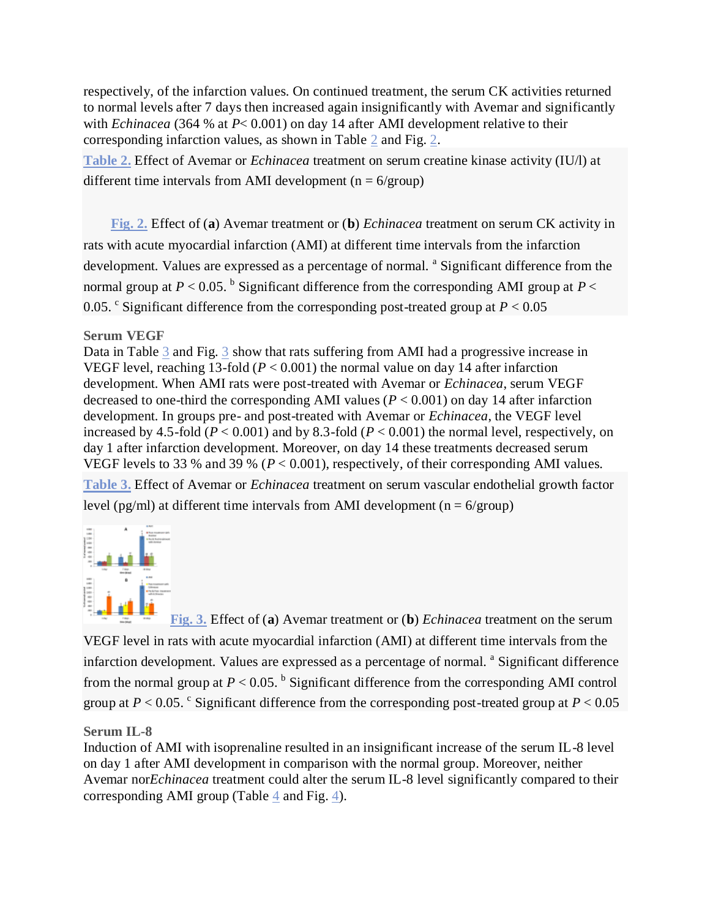respectively, of the infarction values. On continued treatment, the serum CK activities returned to normal levels after 7 days then increased again insignificantly with Avemar and significantly with *Echinacea* (364 % at *P*< 0.001) on day 14 after AMI development relative to their corresponding infarction values, as shown in Table [2](http://www.stemcellres.com/content/6/1/172/table/T2) and Fig. [2.](http://www.stemcellres.com/content/6/1/172/figure/F2)

**[Table](http://www.stemcellres.com/content/6/1/172/table/T2) 2.** Effect of Avemar or *Echinacea* treatment on serum creatine kinase activity (IU/l) at different time intervals from AMI development ( $n = 6/$ group)

**[Fig.](http://www.stemcellres.com/content/6/1/172/figure/F2) 2.** Effect of (**a**) Avemar treatment or (**b**) *Echinacea* treatment on serum CK activity in rats with acute myocardial infarction (AMI) at different time intervals from the infarction development. Values are expressed as a percentage of normal. <sup>a</sup> Significant difference from the normal group at  $P < 0.05$ . <sup>b</sup> Significant difference from the corresponding AMI group at  $P <$ 0.05. <sup>c</sup> Significant difference from the corresponding post-treated group at  $P < 0.05$ 

# **Serum VEGF**

Data in Table [3](http://www.stemcellres.com/content/6/1/172/table/T3) and Fig. [3](http://www.stemcellres.com/content/6/1/172/figure/F3) show that rats suffering from AMI had a progressive increase in VEGF level, reaching 13-fold (*P* < 0.001) the normal value on day 14 after infarction development. When AMI rats were post-treated with Avemar or *Echinacea*, serum VEGF decreased to one-third the corresponding AMI values ( $P < 0.001$ ) on day 14 after infarction development. In groups pre- and post-treated with Avemar or *Echinacea*, the VEGF level increased by 4.5-fold ( $P < 0.001$ ) and by 8.3-fold ( $P < 0.001$ ) the normal level, respectively, on day 1 after infarction development. Moreover, on day 14 these treatments decreased serum VEGF levels to 33 % and 39 % (*P* < 0.001), respectively, of their corresponding AMI values. **[Table](http://www.stemcellres.com/content/6/1/172/table/T3) 3.** Effect of Avemar or *Echinacea* treatment on serum vascular endothelial growth factor

level (pg/ml) at different time intervals from AMI development ( $n = 6$ /group)



**[Fig.](http://www.stemcellres.com/content/6/1/172/figure/F3) 3.** Effect of (**a**) Avemar treatment or (**b**) *Echinacea* treatment on the serum VEGF level in rats with acute myocardial infarction (AMI) at different time intervals from the infarction development. Values are expressed as a percentage of normal. <sup>a</sup> Significant difference from the normal group at  $P < 0.05$ . <sup>b</sup> Significant difference from the corresponding AMI control group at  $P < 0.05$ . <sup>c</sup> Significant difference from the corresponding post-treated group at  $P < 0.05$ 

## **Serum IL-8**

Induction of AMI with isoprenaline resulted in an insignificant increase of the serum IL-8 level on day 1 after AMI development in comparison with the normal group. Moreover, neither Avemar nor*Echinacea* treatment could alter the serum IL-8 level significantly compared to their corresponding AMI group (Table [4](http://www.stemcellres.com/content/6/1/172/table/T4) and Fig. [4\)](http://www.stemcellres.com/content/6/1/172/figure/F4).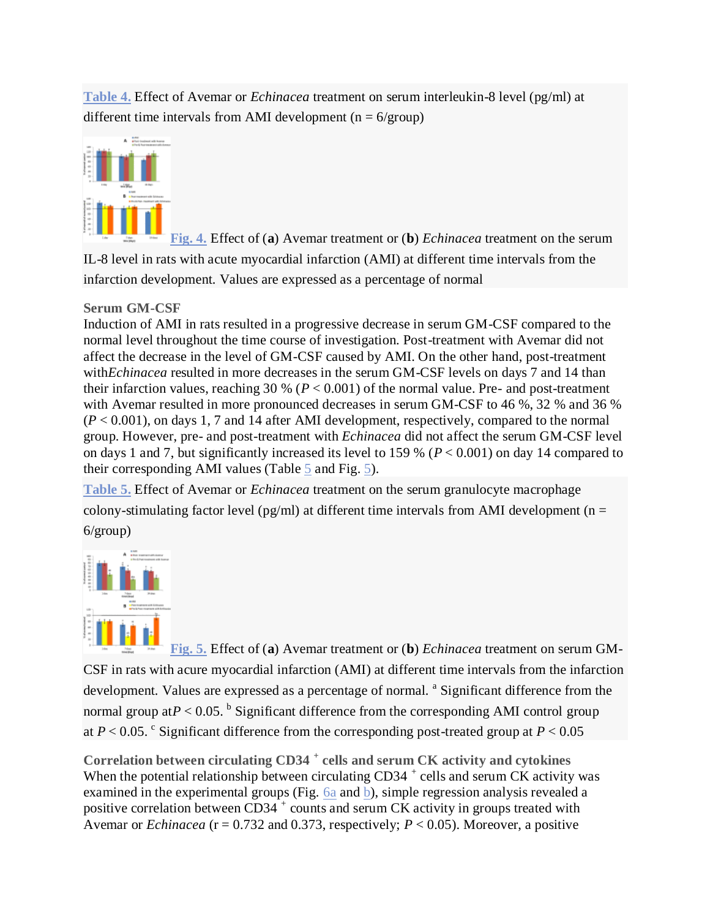**[Table](http://www.stemcellres.com/content/6/1/172/table/T4) 4.** Effect of Avemar or *Echinacea* treatment on serum interleukin-8 level (pg/ml) at different time intervals from AMI development ( $n = 6/$ group)



**[Fig.](http://www.stemcellres.com/content/6/1/172/figure/F4) 4.** Effect of (**a**) Avemar treatment or (**b**) *Echinacea* treatment on the serum IL-8 level in rats with acute myocardial infarction (AMI) at different time intervals from the infarction development. Values are expressed as a percentage of normal

# **Serum GM-CSF**

Induction of AMI in rats resulted in a progressive decrease in serum GM-CSF compared to the normal level throughout the time course of investigation. Post-treatment with Avemar did not affect the decrease in the level of GM-CSF caused by AMI. On the other hand, post-treatment with*Echinacea* resulted in more decreases in the serum GM-CSF levels on days 7 and 14 than their infarction values, reaching 30 % ( $P < 0.001$ ) of the normal value. Pre- and post-treatment with Avemar resulted in more pronounced decreases in serum GM-CSF to 46 %, 32 % and 36 %  $(P < 0.001)$ , on days 1, 7 and 14 after AMI development, respectively, compared to the normal group. However, pre- and post-treatment with *Echinacea* did not affect the serum GM-CSF level on days 1 and 7, but significantly increased its level to 159 % (*P* < 0.001) on day 14 compared to their corresponding AMI values (Table [5](http://www.stemcellres.com/content/6/1/172/table/T5) and Fig. [5\)](http://www.stemcellres.com/content/6/1/172/figure/F5).

**[Table](http://www.stemcellres.com/content/6/1/172/table/T5) 5.** Effect of Avemar or *Echinacea* treatment on the serum granulocyte macrophage colony-stimulating factor level (pg/ml) at different time intervals from AMI development ( $n =$ 6/group)



**[Fig.](http://www.stemcellres.com/content/6/1/172/figure/F5) 5.** Effect of (**a**) Avemar treatment or (**b**) *Echinacea* treatment on serum GM-CSF in rats with acure myocardial infarction (AMI) at different time intervals from the infarction development. Values are expressed as a percentage of normal. <sup>a</sup> Significant difference from the normal group at $P < 0.05$ . <sup>b</sup> Significant difference from the corresponding AMI control group at  $P < 0.05$ . C Significant difference from the corresponding post-treated group at  $P < 0.05$ 

**Correlation between circulating CD34 <sup>+</sup> cells and serum CK activity and cytokines** When the potential relationship between circulating CD34  $^+$  cells and serum CK activity was examined in the experimental groups (Fig. [6a](http://www.stemcellres.com/content/6/1/172/figure/F6) and [b\)](http://www.stemcellres.com/content/6/1/172/figure/F6), simple regression analysis revealed a positive correlation between  $CD34^+$  counts and serum CK activity in groups treated with Avemar or *Echinacea* ( $r = 0.732$  and 0.373, respectively;  $P < 0.05$ ). Moreover, a positive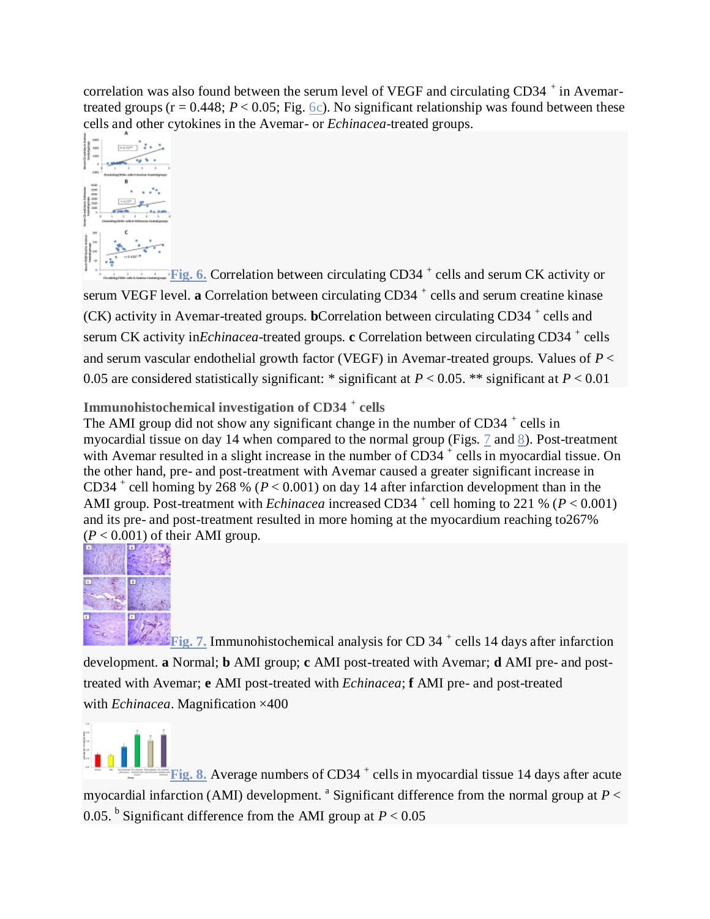correlation was also found between the serum level of VEGF and circulating CD34  $^+$  in Avemartreated groups ( $r = 0.448$ ;  $P < 0.05$ ; Fig. [6c\)](http://www.stemcellres.com/content/6/1/172/figure/F6). No significant relationship was found between these cells and other cytokines in the Avemar- or *Echinacea*-treated groups.



**[Fig.](http://www.stemcellres.com/content/6/1/172/figure/F6) 6.** Correlation between circulating CD34<sup>+</sup> cells and serum CK activity or serum VEGF level. a Correlation between circulating CD34<sup>+</sup> cells and serum creatine kinase (CK) activity in Avemar-treated groups. **b**Correlation between circulating CD34<sup>+</sup> cells and serum CK activity in *Echinacea*-treated groups. **c** Correlation between circulating CD34<sup>+</sup> cells and serum vascular endothelial growth factor (VEGF) in Avemar-treated groups. Values of *P* < 0.05 are considered statistically significant: \* significant at *P* < 0.05. \*\* significant at *P* < 0.01

**Immunohistochemical investigation of CD34 <sup>+</sup> cells**

The AMI group did not show any significant change in the number of CD34<sup>+</sup> cells in myocardial tissue on day 14 when compared to the normal group (Figs. [7](http://www.stemcellres.com/content/6/1/172/figure/F7) and [8\)](http://www.stemcellres.com/content/6/1/172/figure/F8). Post-treatment with Avemar resulted in a slight increase in the number of  $CD34^+$  cells in myocardial tissue. On the other hand, pre- and post-treatment with Avemar caused a greater significant increase in CD34<sup>+</sup> cell homing by 268 % ( $P < 0.001$ ) on day 14 after infarction development than in the AMI group. Post-treatment with *Echinacea* increased CD34<sup>+</sup> cell homing to 221 % ( $P < 0.001$ ) and its pre- and post-treatment resulted in more homing at the myocardium reaching to267%  $(P < 0.001)$  of their AMI group.



[Fig.](http://www.stemcellres.com/content/6/1/172/figure/F7) 7. Immunohistochemical analysis for CD 34<sup>+</sup> cells 14 days after infarction development. **a** Normal; **b** AMI group; **c** AMI post-treated with Avemar; **d** AMI pre- and posttreated with Avemar; **e** AMI post-treated with *Echinacea*; **f** AMI pre- and post-treated with *Echinacea*. Magnification ×400

[Fig.](http://www.stemcellres.com/content/6/1/172/figure/F8) 8. Average numbers of CD34<sup>+</sup> cells in myocardial tissue 14 days after acute myocardial infarction (AMI) development.<sup>a</sup> Significant difference from the normal group at  $P <$ 0.05. <sup>b</sup> Significant difference from the AMI group at  $P < 0.05$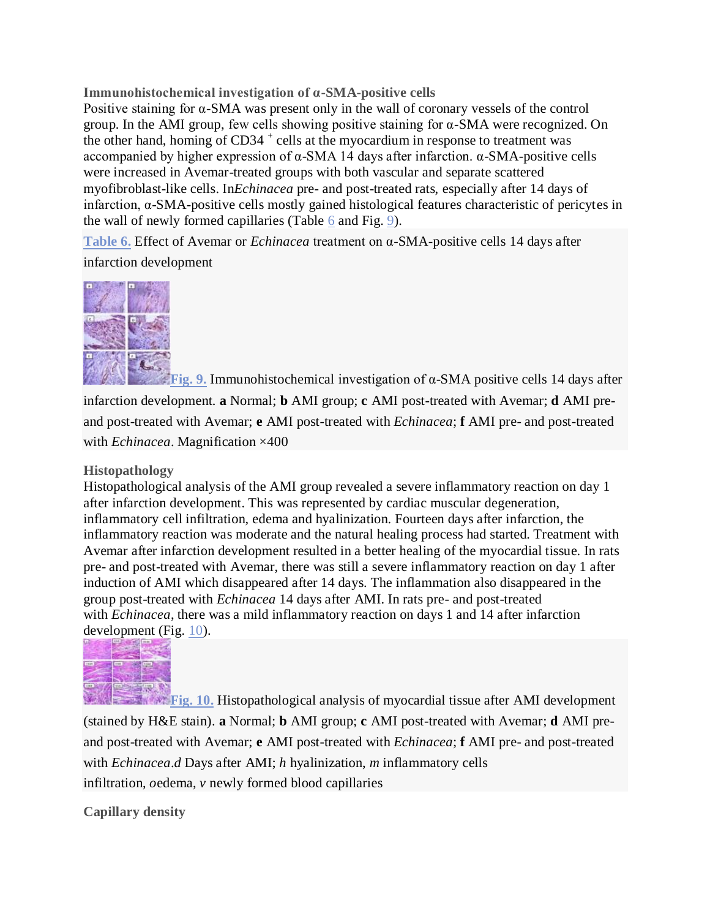# **Immunohistochemical investigation of α-SMA-positive cells**

Positive staining for α-SMA was present only in the wall of coronary vessels of the control group. In the AMI group, few cells showing positive staining for α-SMA were recognized. On the other hand, homing of  $CD34$ <sup>+</sup> cells at the myocardium in response to treatment was accompanied by higher expression of α-SMA 14 days after infarction. α-SMA-positive cells were increased in Avemar-treated groups with both vascular and separate scattered myofibroblast-like cells. In*Echinacea* pre- and post-treated rats, especially after 14 days of infarction, α-SMA-positive cells mostly gained histological features characteristic of pericytes in the wall of newly formed capillaries (Table [6](http://www.stemcellres.com/content/6/1/172/table/T6) and Fig. [9\)](http://www.stemcellres.com/content/6/1/172/figure/F9).

**[Table](http://www.stemcellres.com/content/6/1/172/table/T6) 6.** Effect of Avemar or *Echinacea* treatment on α-SMA-positive cells 14 days after infarction development



**[Fig.](http://www.stemcellres.com/content/6/1/172/figure/F9) 9.** Immunohistochemical investigation of α-SMA positive cells 14 days after infarction development. **a** Normal; **b** AMI group; **c** AMI post-treated with Avemar; **d** AMI preand post-treated with Avemar; **e** AMI post-treated with *Echinacea*; **f** AMI pre- and post-treated with *Echinacea*. Magnification ×400

## **Histopathology**

Histopathological analysis of the AMI group revealed a severe inflammatory reaction on day 1 after infarction development. This was represented by cardiac muscular degeneration, inflammatory cell infiltration, edema and hyalinization. Fourteen days after infarction, the inflammatory reaction was moderate and the natural healing process had started. Treatment with Avemar after infarction development resulted in a better healing of the myocardial tissue. In rats pre- and post-treated with Avemar, there was still a severe inflammatory reaction on day 1 after induction of AMI which disappeared after 14 days. The inflammation also disappeared in the group post-treated with *Echinacea* 14 days after AMI. In rats pre- and post-treated with *Echinacea*, there was a mild inflammatory reaction on days 1 and 14 after infarction development (Fig. [10\)](http://www.stemcellres.com/content/6/1/172/figure/F10).



**[Fig.](http://www.stemcellres.com/content/6/1/172/figure/F10)** 10. Histopathological analysis of myocardial tissue after AMI development (stained by H&E stain). **a** Normal; **b** AMI group; **c** AMI post-treated with Avemar; **d** AMI preand post-treated with Avemar; **e** AMI post-treated with *Echinacea*; **f** AMI pre- and post-treated with *Echinacea*.*d* Days after AMI; *h* hyalinization, *m* inflammatory cells infiltration, *o*edema, *v* newly formed blood capillaries

**Capillary density**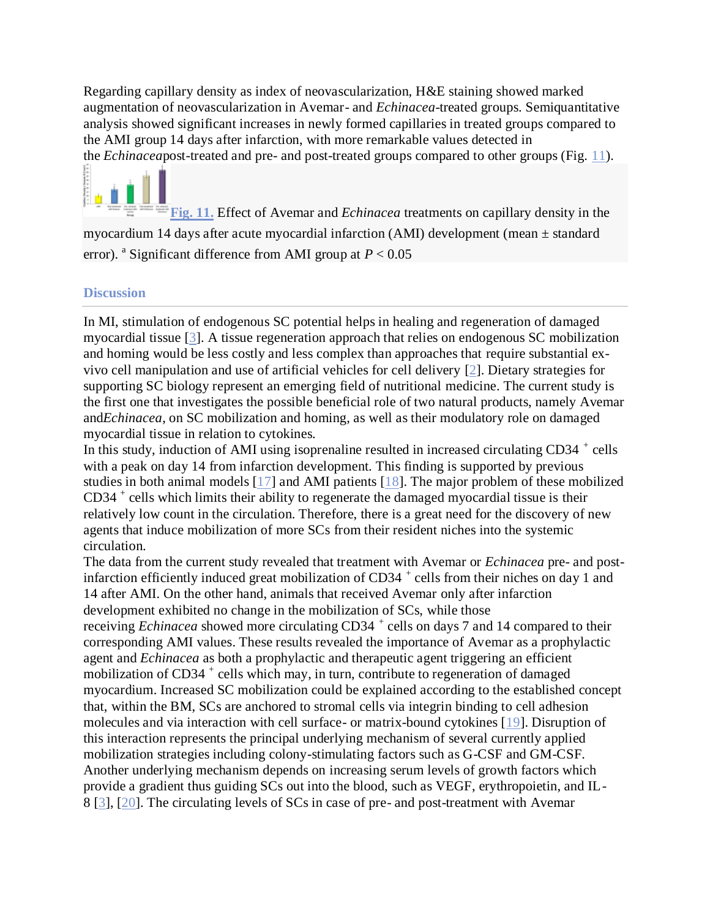Regarding capillary density as index of neovascularization, H&E staining showed marked augmentation of neovascularization in Avemar- and *Echinacea*-treated groups. Semiquantitative analysis showed significant increases in newly formed capillaries in treated groups compared to the AMI group 14 days after infarction, with more remarkable values detected in the *Echinacea*post-treated and pre- and post-treated groups compared to other groups (Fig. [11\)](http://www.stemcellres.com/content/6/1/172/figure/F11).

**[Fig.](http://www.stemcellres.com/content/6/1/172/figure/F11) 11.** Effect of Avemar and *Echinacea* treatments on capillary density in the myocardium 14 days after acute myocardial infarction (AMI) development (mean  $\pm$  standard error). <sup>a</sup> Significant difference from AMI group at  $P < 0.05$ 

## **Discussion**

In MI, stimulation of endogenous SC potential helps in healing and regeneration of damaged myocardial tissue [\[3\]](http://www.stemcellres.com/content/6/1/172#B3). A tissue regeneration approach that relies on endogenous SC mobilization and homing would be less costly and less complex than approaches that require substantial exvivo cell manipulation and use of artificial vehicles for cell delivery [\[2\]](http://www.stemcellres.com/content/6/1/172#B2). Dietary strategies for supporting SC biology represent an emerging field of nutritional medicine. The current study is the first one that investigates the possible beneficial role of two natural products, namely Avemar and*Echinacea*, on SC mobilization and homing, as well as their modulatory role on damaged myocardial tissue in relation to cytokines.

In this study, induction of AMI using isoprenaline resulted in increased circulating CD34<sup>+</sup> cells with a peak on day 14 from infarction development. This finding is supported by previous studies in both animal models [\[17\]](http://www.stemcellres.com/content/6/1/172#B17) and AMI patients [\[18\]](http://www.stemcellres.com/content/6/1/172#B18). The major problem of these mobilized CD34 <sup>+</sup> cells which limits their ability to regenerate the damaged myocardial tissue is their relatively low count in the circulation. Therefore, there is a great need for the discovery of new agents that induce mobilization of more SCs from their resident niches into the systemic circulation.

The data from the current study revealed that treatment with Avemar or *Echinacea* pre- and postinfarction efficiently induced great mobilization of CD34<sup>+</sup> cells from their niches on day 1 and 14 after AMI. On the other hand, animals that received Avemar only after infarction development exhibited no change in the mobilization of SCs, while those receiving *Echinacea* showed more circulating CD34<sup>+</sup> cells on days 7 and 14 compared to their corresponding AMI values. These results revealed the importance of Avemar as a prophylactic agent and *Echinacea* as both a prophylactic and therapeutic agent triggering an efficient mobilization of CD34<sup>+</sup> cells which may, in turn, contribute to regeneration of damaged myocardium. Increased SC mobilization could be explained according to the established concept that, within the BM, SCs are anchored to stromal cells via integrin binding to cell adhesion molecules and via interaction with cell surface- or matrix-bound cytokines [\[19\]](http://www.stemcellres.com/content/6/1/172#B19). Disruption of this interaction represents the principal underlying mechanism of several currently applied mobilization strategies including colony-stimulating factors such as G-CSF and GM-CSF. Another underlying mechanism depends on increasing serum levels of growth factors which provide a gradient thus guiding SCs out into the blood, such as VEGF, erythropoietin, and IL-8 [\[3\]](http://www.stemcellres.com/content/6/1/172#B3), [\[20\]](http://www.stemcellres.com/content/6/1/172#B20). The circulating levels of SCs in case of pre- and post-treatment with Avemar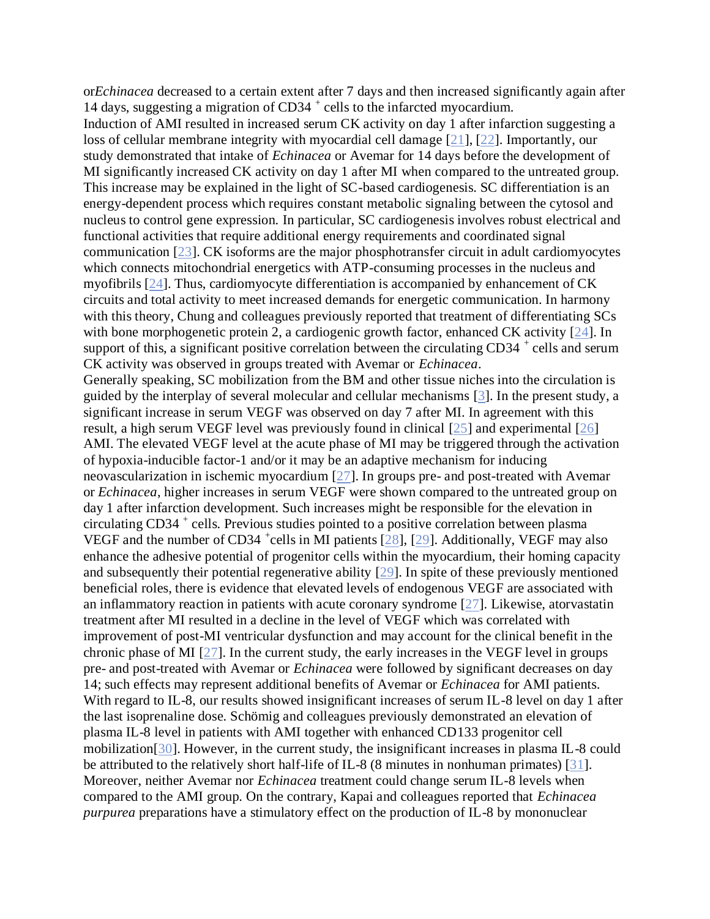or*Echinacea* decreased to a certain extent after 7 days and then increased significantly again after 14 days, suggesting a migration of CD34<sup>+</sup> cells to the infarcted myocardium.

Induction of AMI resulted in increased serum CK activity on day 1 after infarction suggesting a loss of cellular membrane integrity with myocardial cell damage [\[21\]](http://www.stemcellres.com/content/6/1/172#B21), [\[22\]](http://www.stemcellres.com/content/6/1/172#B22). Importantly, our study demonstrated that intake of *Echinacea* or Avemar for 14 days before the development of MI significantly increased CK activity on day 1 after MI when compared to the untreated group. This increase may be explained in the light of SC-based cardiogenesis. SC differentiation is an energy-dependent process which requires constant metabolic signaling between the cytosol and nucleus to control gene expression. In particular, SC cardiogenesis involves robust electrical and functional activities that require additional energy requirements and coordinated signal communication [\[23\]](http://www.stemcellres.com/content/6/1/172#B23). CK isoforms are the major phosphotransfer circuit in adult cardiomyocytes which connects mitochondrial energetics with ATP-consuming processes in the nucleus and myofibrils [\[24\]](http://www.stemcellres.com/content/6/1/172#B24). Thus, cardiomyocyte differentiation is accompanied by enhancement of CK circuits and total activity to meet increased demands for energetic communication. In harmony with this theory, Chung and colleagues previously reported that treatment of differentiating SCs with bone morphogenetic protein 2, a cardiogenic growth factor, enhanced CK activity [\[24\]](http://www.stemcellres.com/content/6/1/172#B24). In support of this, a significant positive correlation between the circulating  $CD34^+$  cells and serum CK activity was observed in groups treated with Avemar or *Echinacea*.

Generally speaking, SC mobilization from the BM and other tissue niches into the circulation is guided by the interplay of several molecular and cellular mechanisms [\[3\]](http://www.stemcellres.com/content/6/1/172#B3). In the present study, a significant increase in serum VEGF was observed on day 7 after MI. In agreement with this result, a high serum VEGF level was previously found in clinical [\[25\]](http://www.stemcellres.com/content/6/1/172#B25) and experimental [\[26\]](http://www.stemcellres.com/content/6/1/172#B26) AMI. The elevated VEGF level at the acute phase of MI may be triggered through the activation of hypoxia-inducible factor-1 and/or it may be an adaptive mechanism for inducing neovascularization in ischemic myocardium [\[27\]](http://www.stemcellres.com/content/6/1/172#B27). In groups pre- and post-treated with Avemar or *Echinacea*, higher increases in serum VEGF were shown compared to the untreated group on day 1 after infarction development. Such increases might be responsible for the elevation in circulating CD34 <sup>+</sup> cells. Previous studies pointed to a positive correlation between plasma VEGF and the number of CD34  $^+$ cells in MI patients [\[28\]](http://www.stemcellres.com/content/6/1/172#B28), [\[29\]](http://www.stemcellres.com/content/6/1/172#B29). Additionally, VEGF may also enhance the adhesive potential of progenitor cells within the myocardium, their homing capacity and subsequently their potential regenerative ability [\[29\]](http://www.stemcellres.com/content/6/1/172#B29). In spite of these previously mentioned beneficial roles, there is evidence that elevated levels of endogenous VEGF are associated with an inflammatory reaction in patients with acute coronary syndrome [\[27\]](http://www.stemcellres.com/content/6/1/172#B27). Likewise, atorvastatin treatment after MI resulted in a decline in the level of VEGF which was correlated with improvement of post-MI ventricular dysfunction and may account for the clinical benefit in the chronic phase of MI [\[27\]](http://www.stemcellres.com/content/6/1/172#B27). In the current study, the early increases in the VEGF level in groups pre- and post-treated with Avemar or *Echinacea* were followed by significant decreases on day 14; such effects may represent additional benefits of Avemar or *Echinacea* for AMI patients. With regard to IL-8, our results showed insignificant increases of serum IL-8 level on day 1 after the last isoprenaline dose. Schömig and colleagues previously demonstrated an elevation of plasma IL-8 level in patients with AMI together with enhanced CD133 progenitor cell mobilization[\[30\]](http://www.stemcellres.com/content/6/1/172#B30). However, in the current study, the insignificant increases in plasma IL-8 could be attributed to the relatively short half-life of IL-8 (8 minutes in nonhuman primates) [\[31\]](http://www.stemcellres.com/content/6/1/172#B31). Moreover, neither Avemar nor *Echinacea* treatment could change serum IL-8 levels when compared to the AMI group. On the contrary, Kapai and colleagues reported that *Echinacea purpurea* preparations have a stimulatory effect on the production of IL-8 by mononuclear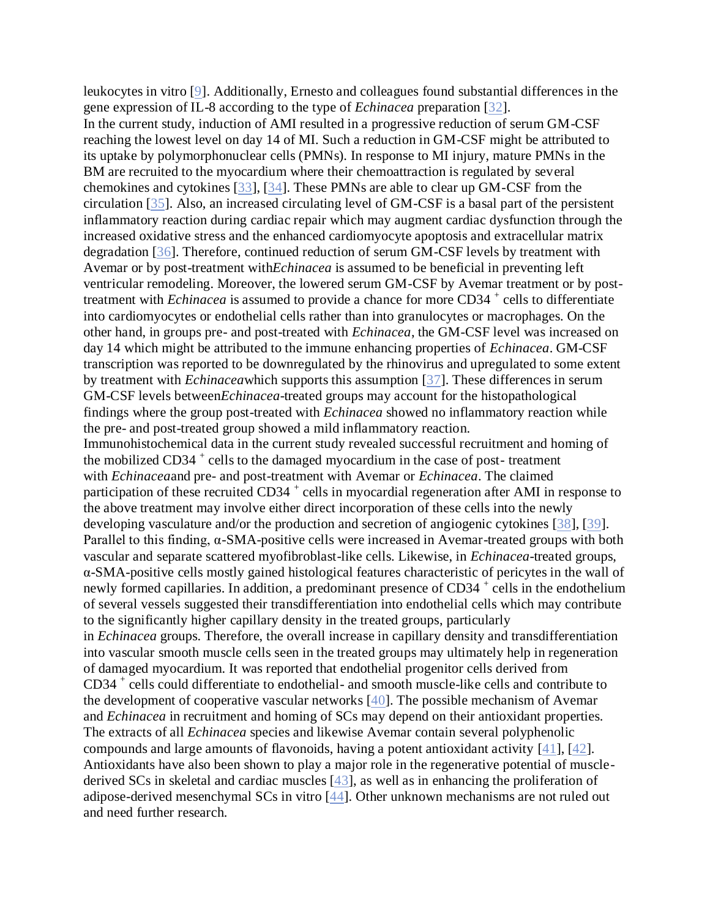leukocytes in vitro [\[9\]](http://www.stemcellres.com/content/6/1/172#B9). Additionally, Ernesto and colleagues found substantial differences in the gene expression of IL-8 according to the type of *Echinacea* preparation [\[32\]](http://www.stemcellres.com/content/6/1/172#B32). In the current study, induction of AMI resulted in a progressive reduction of serum GM-CSF reaching the lowest level on day 14 of MI. Such a reduction in GM-CSF might be attributed to its uptake by polymorphonuclear cells (PMNs). In response to MI injury, mature PMNs in the BM are recruited to the myocardium where their chemoattraction is regulated by several chemokines and cytokines [\[33\]](http://www.stemcellres.com/content/6/1/172#B33), [\[34\]](http://www.stemcellres.com/content/6/1/172#B34). These PMNs are able to clear up GM-CSF from the circulation [\[35\]](http://www.stemcellres.com/content/6/1/172#B35). Also, an increased circulating level of GM-CSF is a basal part of the persistent inflammatory reaction during cardiac repair which may augment cardiac dysfunction through the increased oxidative stress and the enhanced cardiomyocyte apoptosis and extracellular matrix degradation [\[36\]](http://www.stemcellres.com/content/6/1/172#B36). Therefore, continued reduction of serum GM-CSF levels by treatment with Avemar or by post-treatment with*Echinacea* is assumed to be beneficial in preventing left ventricular remodeling. Moreover, the lowered serum GM-CSF by Avemar treatment or by posttreatment with *Echinacea* is assumed to provide a chance for more CD34<sup>+</sup> cells to differentiate into cardiomyocytes or endothelial cells rather than into granulocytes or macrophages. On the other hand, in groups pre- and post-treated with *Echinacea*, the GM-CSF level was increased on day 14 which might be attributed to the immune enhancing properties of *Echinacea*. GM-CSF transcription was reported to be downregulated by the rhinovirus and upregulated to some extent by treatment with *Echinacea*which supports this assumption [\[37\]](http://www.stemcellres.com/content/6/1/172#B37). These differences in serum GM-CSF levels between*Echinacea*-treated groups may account for the histopathological findings where the group post-treated with *Echinacea* showed no inflammatory reaction while the pre- and post-treated group showed a mild inflammatory reaction. Immunohistochemical data in the current study revealed successful recruitment and homing of the mobilized CD34<sup>+</sup> cells to the damaged myocardium in the case of post-treatment with *Echinacea*and pre- and post-treatment with Avemar or *Echinacea*. The claimed participation of these recruited CD34<sup>+</sup> cells in myocardial regeneration after AMI in response to the above treatment may involve either direct incorporation of these cells into the newly developing vasculature and/or the production and secretion of angiogenic cytokines [\[38\]](http://www.stemcellres.com/content/6/1/172#B38), [\[39\]](http://www.stemcellres.com/content/6/1/172#B39). Parallel to this finding, α-SMA-positive cells were increased in Avemar-treated groups with both vascular and separate scattered myofibroblast-like cells. Likewise, in *Echinacea*-treated groups, α-SMA-positive cells mostly gained histological features characteristic of pericytes in the wall of newly formed capillaries. In addition, a predominant presence of CD34<sup>+</sup> cells in the endothelium of several vessels suggested their transdifferentiation into endothelial cells which may contribute to the significantly higher capillary density in the treated groups, particularly in *Echinacea* groups. Therefore, the overall increase in capillary density and transdifferentiation into vascular smooth muscle cells seen in the treated groups may ultimately help in regeneration of damaged myocardium. It was reported that endothelial progenitor cells derived from CD34 + cells could differentiate to endothelial- and smooth muscle-like cells and contribute to the development of cooperative vascular networks [\[40\]](http://www.stemcellres.com/content/6/1/172#B40). The possible mechanism of Avemar and *Echinacea* in recruitment and homing of SCs may depend on their antioxidant properties. The extracts of all *Echinacea* species and likewise Avemar contain several polyphenolic compounds and large amounts of flavonoids, having a potent antioxidant activity [\[41\]](http://www.stemcellres.com/content/6/1/172#B41), [\[42\]](http://www.stemcellres.com/content/6/1/172#B42). Antioxidants have also been shown to play a major role in the regenerative potential of musclederived SCs in skeletal and cardiac muscles [\[43\]](http://www.stemcellres.com/content/6/1/172#B43), as well as in enhancing the proliferation of adipose-derived mesenchymal SCs in vitro [\[44\]](http://www.stemcellres.com/content/6/1/172#B44). Other unknown mechanisms are not ruled out and need further research.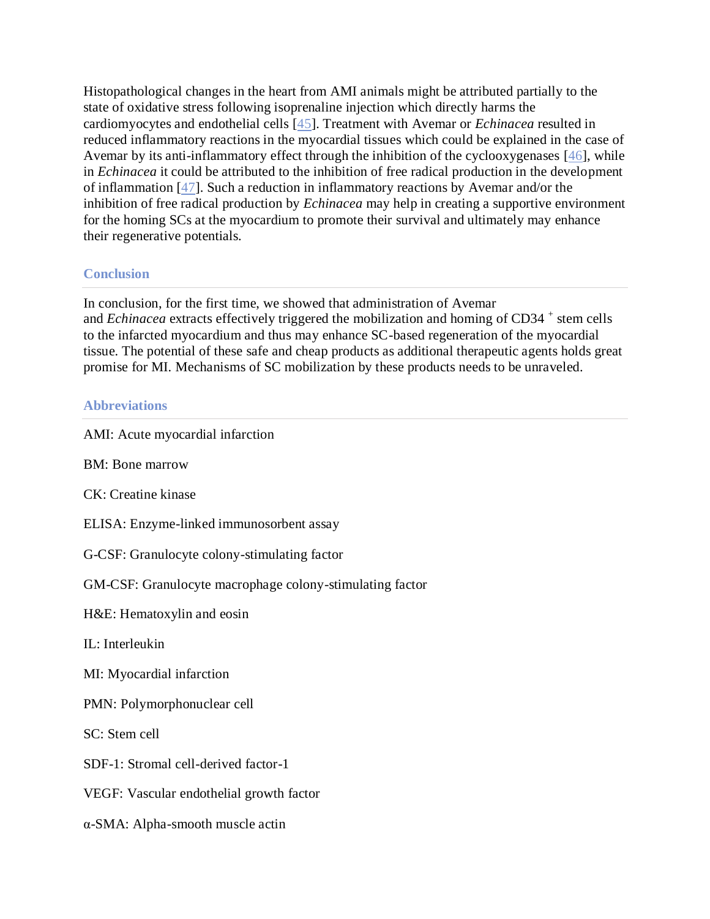Histopathological changes in the heart from AMI animals might be attributed partially to the state of oxidative stress following isoprenaline injection which directly harms the cardiomyocytes and endothelial cells [\[45\]](http://www.stemcellres.com/content/6/1/172#B45). Treatment with Avemar or *Echinacea* resulted in reduced inflammatory reactions in the myocardial tissues which could be explained in the case of Avemar by its anti-inflammatory effect through the inhibition of the cyclooxygenases [\[46\]](http://www.stemcellres.com/content/6/1/172#B46), while in *Echinacea* it could be attributed to the inhibition of free radical production in the development of inflammation [\[47\]](http://www.stemcellres.com/content/6/1/172#B47). Such a reduction in inflammatory reactions by Avemar and/or the inhibition of free radical production by *Echinacea* may help in creating a supportive environment for the homing SCs at the myocardium to promote their survival and ultimately may enhance their regenerative potentials.

# **Conclusion**

In conclusion, for the first time, we showed that administration of Avemar and *Echinacea* extracts effectively triggered the mobilization and homing of CD34<sup>+</sup> stem cells to the infarcted myocardium and thus may enhance SC-based regeneration of the myocardial tissue. The potential of these safe and cheap products as additional therapeutic agents holds great promise for MI. Mechanisms of SC mobilization by these products needs to be unraveled.

## **Abbreviations**

AMI: Acute myocardial infarction BM: Bone marrow CK: Creatine kinase ELISA: Enzyme-linked immunosorbent assay G-CSF: Granulocyte colony-stimulating factor GM-CSF: Granulocyte macrophage colony-stimulating factor H&E: Hematoxylin and eosin IL: Interleukin MI: Myocardial infarction PMN: Polymorphonuclear cell SC: Stem cell SDF-1: Stromal cell-derived factor-1 VEGF: Vascular endothelial growth factor α-SMA: Alpha-smooth muscle actin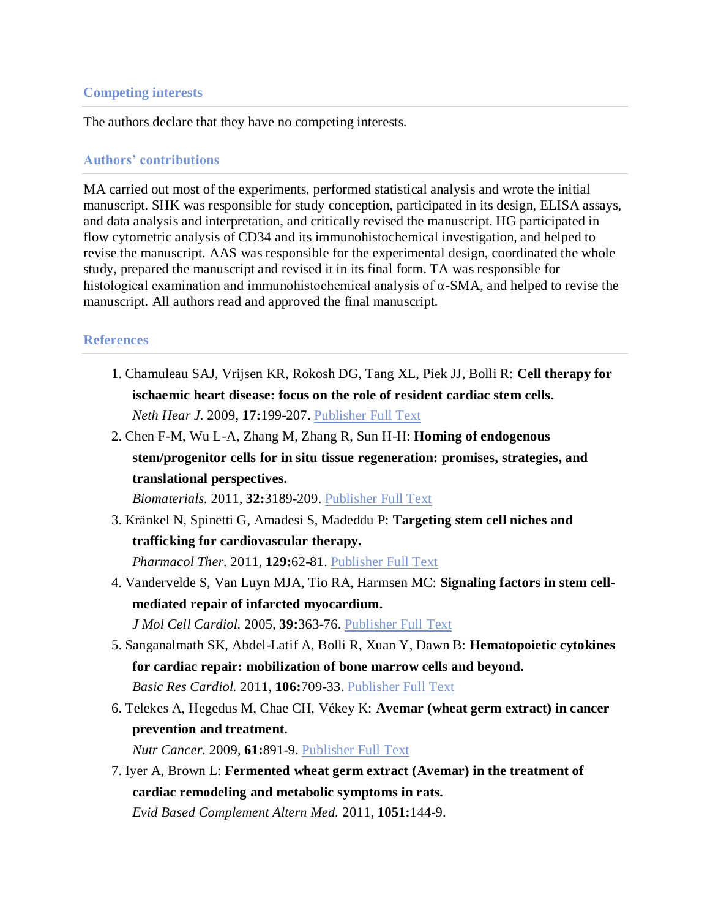#### **Competing interests**

The authors declare that they have no competing interests.

#### **Authors' contributions**

MA carried out most of the experiments, performed statistical analysis and wrote the initial manuscript. SHK was responsible for study conception, participated in its design, ELISA assays, and data analysis and interpretation, and critically revised the manuscript. HG participated in flow cytometric analysis of CD34 and its immunohistochemical investigation, and helped to revise the manuscript. AAS was responsible for the experimental design, coordinated the whole study, prepared the manuscript and revised it in its final form. TA was responsible for histological examination and immunohistochemical analysis of  $\alpha$ -SMA, and helped to revise the manuscript. All authors read and approved the final manuscript.

#### **References**

- 1. Chamuleau SAJ, Vrijsen KR, Rokosh DG, Tang XL, Piek JJ, Bolli R: **Cell therapy for ischaemic heart disease: focus on the role of resident cardiac stem cells.** *Neth Hear J.* 2009, **17:**199-207. [Publisher](http://dx.doi.org/10.1007/BF03086247) Full Text
- 2. Chen F-M, Wu L-A, Zhang M, Zhang R, Sun H-H: **Homing of endogenous stem/progenitor cells for in situ tissue regeneration: promises, strategies, and translational perspectives.**

*Biomaterials.* 2011, **32:**3189-209. [Publisher](http://dx.doi.org/10.1016/j.biomaterials.2010.12.032) Full Text

3. Kränkel N, Spinetti G, Amadesi S, Madeddu P: **Targeting stem cell niches and trafficking for cardiovascular therapy.**

*Pharmacol Ther.* 2011, **129:**62-81. [Publisher](http://dx.doi.org/10.1016/j.pharmthera.2010.10.002) Full Text

- 4. Vandervelde S, Van Luyn MJA, Tio RA, Harmsen MC: **Signaling factors in stem cellmediated repair of infarcted myocardium.** *J Mol Cell Cardiol.* 2005, **39:**363-76. [Publisher](http://dx.doi.org/10.1016/j.yjmcc.2005.05.012) Full Text
- 5. Sanganalmath SK, Abdel-Latif A, Bolli R, Xuan Y, Dawn B: **Hematopoietic cytokines for cardiac repair: mobilization of bone marrow cells and beyond.** *Basic Res Cardiol.* 2011, **106:**709-33. [Publisher](http://dx.doi.org/10.1007/s00395-011-0183-y) Full Text
- 6. Telekes A, Hegedus M, Chae CH, Vékey K: **Avemar (wheat germ extract) in cancer prevention and treatment.**

*Nutr Cancer.* 2009, **61:**891-9. [Publisher](http://dx.doi.org/10.1080/01635580903285114) Full Text

7. Iyer A, Brown L: **Fermented wheat germ extract (Avemar) in the treatment of cardiac remodeling and metabolic symptoms in rats.** *Evid Based Complement Altern Med.* 2011, **1051:**144-9.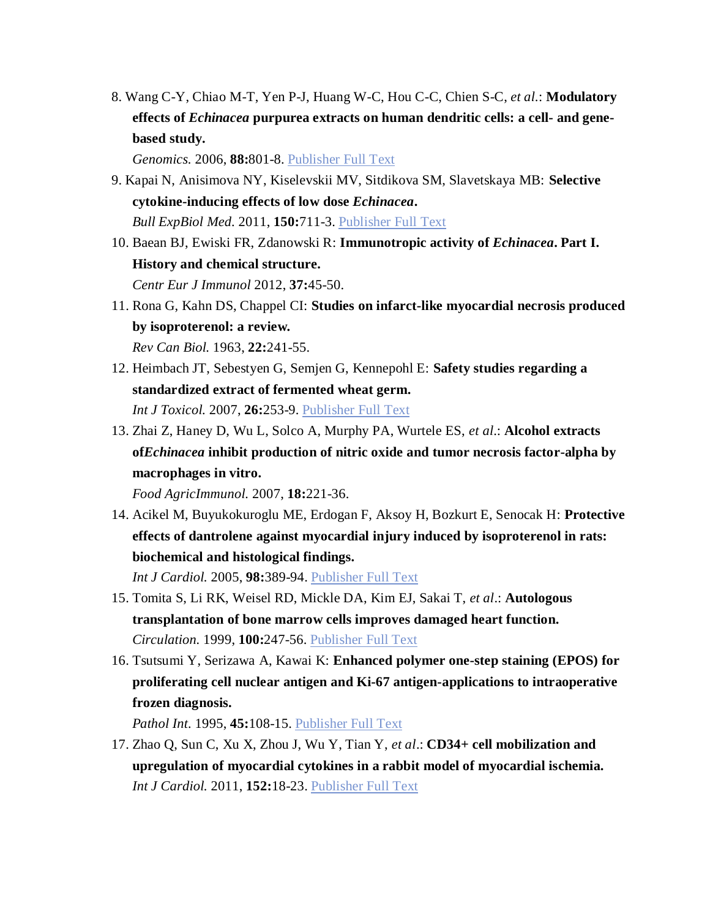8. Wang C-Y, Chiao M-T, Yen P-J, Huang W-C, Hou C-C, Chien S-C, *et al*.: **Modulatory effects of** *Echinacea* **purpurea extracts on human dendritic cells: a cell- and genebased study.**

*Genomics.* 2006, **88:**801-8. [Publisher](http://dx.doi.org/10.1016/j.ygeno.2006.08.011) Full Text

- 9. Kapai N, Anisimova NY, Kiselevskii MV, Sitdikova SM, Slavetskaya MB: **Selective cytokine-inducing effects of low dose** *Echinacea***.** *Bull ExpBiol Med.* 2011, **150:**711-3. [Publisher](http://dx.doi.org/10.1007/s10517-011-1230-2) Full Text
- 10. Baean BJ, Ewiski FR, Zdanowski R: **Immunotropic activity of** *Echinacea***. Part I. History and chemical structure.** *Centr Eur J Immunol* 2012, **37:**45-50.
- 11. Rona G, Kahn DS, Chappel CI: **Studies on infarct-like myocardial necrosis produced by isoproterenol: a review.** *Rev Can Biol.* 1963, **22:**241-55.
- 12. Heimbach JT, Sebestyen G, Semjen G, Kennepohl E: **Safety studies regarding a standardized extract of fermented wheat germ.** *Int J Toxicol.* 2007, **26:**253-9. [Publisher](http://dx.doi.org/10.1080/10915810701369709) Full Text
- 13. Zhai Z, Haney D, Wu L, Solco A, Murphy PA, Wurtele ES, *et al*.: **Alcohol extracts of***Echinacea* **inhibit production of nitric oxide and tumor necrosis factor-alpha by macrophages in vitro.**

*Food AgricImmunol.* 2007, **18:**221-36.

14. Acikel M, Buyukokuroglu ME, Erdogan F, Aksoy H, Bozkurt E, Senocak H: **Protective effects of dantrolene against myocardial injury induced by isoproterenol in rats: biochemical and histological findings.**

*Int J Cardiol.* 2005, **98:**389-94. [Publisher](http://dx.doi.org/10.1016/j.ijcard.2003.10.054) Full Text

- 15. Tomita S, Li RK, Weisel RD, Mickle DA, Kim EJ, Sakai T, *et al*.: **Autologous transplantation of bone marrow cells improves damaged heart function.** *Circulation.* 1999, **100:**247-56. [Publisher](http://dx.doi.org/10.1161/01.CIR.100.suppl_2.II-247) Full Text
- 16. Tsutsumi Y, Serizawa A, Kawai K: **Enhanced polymer one-step staining (EPOS) for proliferating cell nuclear antigen and Ki-67 antigen-applications to intraoperative frozen diagnosis.**

*Pathol Int.* 1995, **45:**108-15. [Publisher](http://dx.doi.org/10.1111/j.1440-1827.1995.tb03430.x) Full Text

17. Zhao Q, Sun C, Xu X, Zhou J, Wu Y, Tian Y, *et al*.: **CD34+ cell mobilization and upregulation of myocardial cytokines in a rabbit model of myocardial ischemia.** *Int J Cardiol.* 2011, **152:**18-23. [Publisher](http://dx.doi.org/10.1016/j.ijcard.2010.06.017) Full Text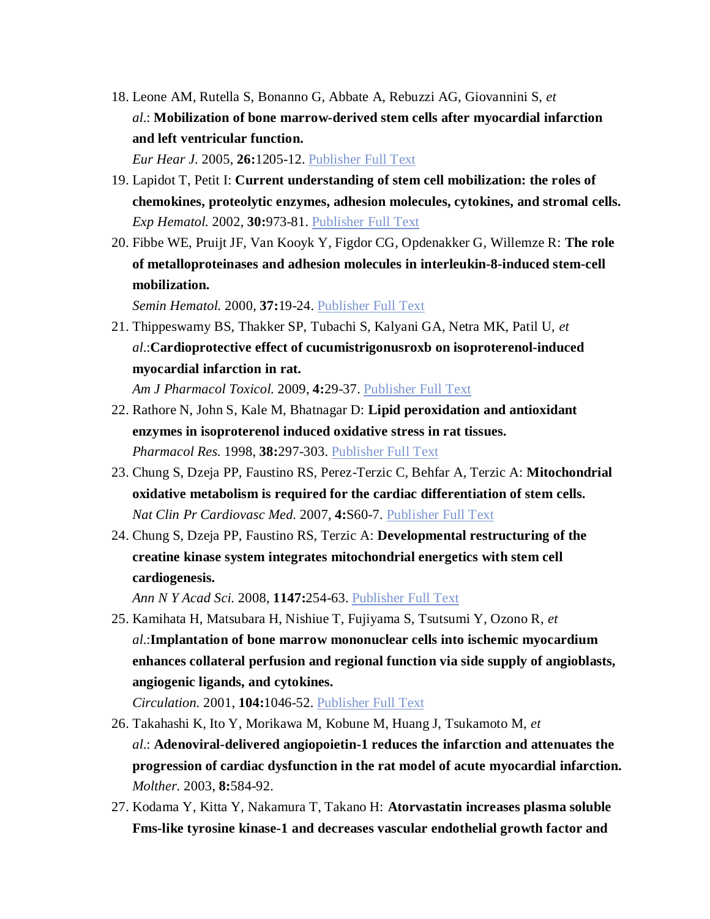18. Leone AM, Rutella S, Bonanno G, Abbate A, Rebuzzi AG, Giovannini S, *et al*.: **Mobilization of bone marrow-derived stem cells after myocardial infarction and left ventricular function.**

*Eur Hear J.* 2005, **26:**1205-12. [Publisher](http://dx.doi.org/10.1093/eurheartj/ehi271) Full Text

- 19. Lapidot T, Petit I: **Current understanding of stem cell mobilization: the roles of chemokines, proteolytic enzymes, adhesion molecules, cytokines, and stromal cells.** *Exp Hematol.* 2002, **30:**973-81. [Publisher](http://dx.doi.org/10.1016/S0301-472X(02)00883-4) Full Text
- 20. Fibbe WE, Pruijt JF, Van Kooyk Y, Figdor CG, Opdenakker G, Willemze R: **The role of metalloproteinases and adhesion molecules in interleukin-8-induced stem-cell mobilization.**

*Semin Hematol.* 2000, **37:**19-24. [Publisher](http://dx.doi.org/10.1016/S0037-1963(00)90085-4) Full Text

21. Thippeswamy BS, Thakker SP, Tubachi S, Kalyani GA, Netra MK, Patil U, *et al*.:**Cardioprotective effect of cucumistrigonusroxb on isoproterenol-induced myocardial infarction in rat.**

*Am J Pharmacol Toxicol.* 2009, **4:**29-37. [Publisher](http://dx.doi.org/10.3844/ajptsp.2009.29.37) Full Text

- 22. Rathore N, John S, Kale M, Bhatnagar D: **Lipid peroxidation and antioxidant enzymes in isoproterenol induced oxidative stress in rat tissues.** *Pharmacol Res.* 1998, **38:**297-303. [Publisher](http://dx.doi.org/10.1006/phrs.1998.0365) Full Text
- 23. Chung S, Dzeja PP, Faustino RS, Perez-Terzic C, Behfar A, Terzic A: **Mitochondrial oxidative metabolism is required for the cardiac differentiation of stem cells.** *Nat Clin Pr Cardiovasc Med.* 2007, **4:**S60-7. [Publisher](http://dx.doi.org/10.1038/ncpcardio0766) Full Text
- 24. Chung S, Dzeja PP, Faustino RS, Terzic A: **Developmental restructuring of the creatine kinase system integrates mitochondrial energetics with stem cell cardiogenesis.**

*Ann N Y Acad Sci.* 2008, **1147:**254-63. [Publisher](http://dx.doi.org/10.1196/annals.1427.004) Full Text

25. Kamihata H, Matsubara H, Nishiue T, Fujiyama S, Tsutsumi Y, Ozono R, *et al*.:**Implantation of bone marrow mononuclear cells into ischemic myocardium enhances collateral perfusion and regional function via side supply of angioblasts, angiogenic ligands, and cytokines.**

*Circulation.* 2001, **104:**1046-52. [Publisher](http://dx.doi.org/10.1161/hc3501.093817) Full Text

- 26. Takahashi K, Ito Y, Morikawa M, Kobune M, Huang J, Tsukamoto M, *et al*.: **Adenoviral-delivered angiopoietin-1 reduces the infarction and attenuates the progression of cardiac dysfunction in the rat model of acute myocardial infarction.** *Molther.* 2003, **8:**584-92.
- 27. Kodama Y, Kitta Y, Nakamura T, Takano H: **Atorvastatin increases plasma soluble Fms-like tyrosine kinase-1 and decreases vascular endothelial growth factor and**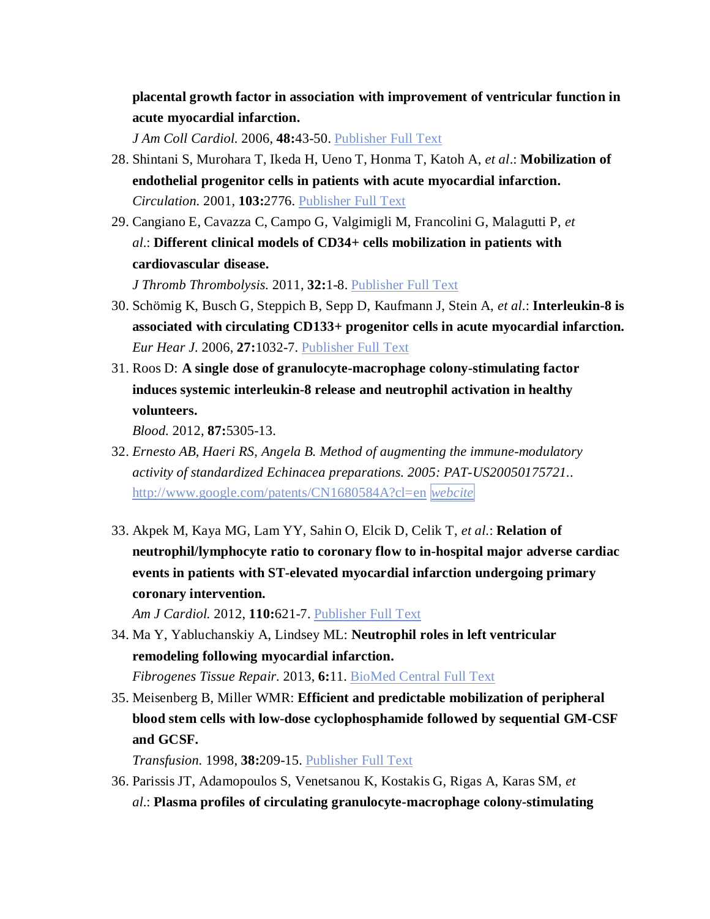**placental growth factor in association with improvement of ventricular function in acute myocardial infarction.**

*J Am Coll Cardiol.* 2006, **48:**43-50. [Publisher](http://dx.doi.org/10.1016/j.jacc.2006.03.035) Full Text

- 28. Shintani S, Murohara T, Ikeda H, Ueno T, Honma T, Katoh A, *et al*.: **Mobilization of endothelial progenitor cells in patients with acute myocardial infarction.** *Circulation.* 2001, **103:**2776. [Publisher](http://dx.doi.org/10.1161/hc2301.092122) Full Text
- 29. Cangiano E, Cavazza C, Campo G, Valgimigli M, Francolini G, Malagutti P, *et al*.: **Different clinical models of CD34+ cells mobilization in patients with cardiovascular disease.**

*J Thromb Thrombolysis.* 2011, **32:**1-8. [Publisher](http://dx.doi.org/10.1007/s11239-010-0543-8) Full Text

- 30. Schömig K, Busch G, Steppich B, Sepp D, Kaufmann J, Stein A, *et al*.: **Interleukin-8 is associated with circulating CD133+ progenitor cells in acute myocardial infarction.** *Eur Hear J.* 2006, **27:**1032-7. [Publisher](http://dx.doi.org/10.1093/eurheartj/ehi761) Full Text
- 31. Roos D: **A single dose of granulocyte-macrophage colony-stimulating factor induces systemic interleukin-8 release and neutrophil activation in healthy volunteers.**

*Blood.* 2012, **87:**5305-13.

- 32. *Ernesto AB, Haeri RS, Angela B. Method of augmenting the immune-modulatory activity of standardized Echinacea preparations. 2005: PAT-US20050175721.*. <http://www.google.com/patents/CN1680584A?cl=en> *[webcite](http://www.webcitation.org/query.php?url=http://www.google.com/patents/CN1680584A?cl=en&refdoi=10.1186/s13287-015-0171-5)*
- 33. Akpek M, Kaya MG, Lam YY, Sahin O, Elcik D, Celik T, *et al*.: **Relation of neutrophil/lymphocyte ratio to coronary flow to in-hospital major adverse cardiac events in patients with ST-elevated myocardial infarction undergoing primary coronary intervention.**

*Am J Cardiol.* 2012, **110:**621-7. [Publisher](http://dx.doi.org/10.1016/j.amjcard.2012.04.041) Full Text

- 34. Ma Y, Yabluchanskiy A, Lindsey ML: **Neutrophil roles in left ventricular remodeling following myocardial infarction.** *Fibrogenes Tissue Repair.* 2013, **6:**11. [BioMed](http://dx.doi.org/10.1186/1755-1536-6-11) Central Full Text
- 35. Meisenberg B, Miller WMR: **Efficient and predictable mobilization of peripheral blood stem cells with low-dose cyclophosphamide followed by sequential GM-CSF and GCSF.**

*Transfusion.* 1998, **38:**209-15. [Publisher](http://dx.doi.org/10.1046/j.1537-2995.1998.38298193107.x) Full Text

36. Parissis JT, Adamopoulos S, Venetsanou K, Kostakis G, Rigas A, Karas SM, *et al*.: **Plasma profiles of circulating granulocyte-macrophage colony-stimulating**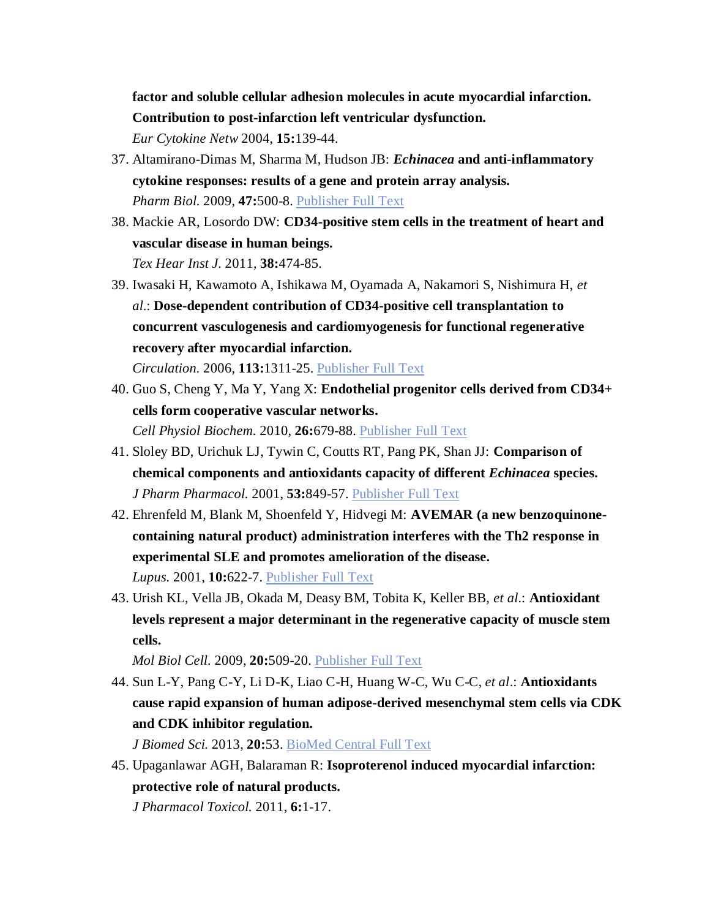**factor and soluble cellular adhesion molecules in acute myocardial infarction. Contribution to post-infarction left ventricular dysfunction.**

*Eur Cytokine Netw* 2004, **15:**139-44.

- 37. Altamirano-Dimas M, Sharma M, Hudson JB: *Echinacea* **and anti-inflammatory cytokine responses: results of a gene and protein array analysis.** *Pharm Biol.* 2009, **47:**500-8. [Publisher](http://dx.doi.org/10.1080/13880200902839525) Full Text
- 38. Mackie AR, Losordo DW: **CD34-positive stem cells in the treatment of heart and vascular disease in human beings.** *Tex Hear Inst J.* 2011, **38:**474-85.
- 39. Iwasaki H, Kawamoto A, Ishikawa M, Oyamada A, Nakamori S, Nishimura H, *et al*.: **Dose-dependent contribution of CD34-positive cell transplantation to concurrent vasculogenesis and cardiomyogenesis for functional regenerative recovery after myocardial infarction.**

*Circulation.* 2006, **113:**1311-25. [Publisher](http://dx.doi.org/10.1161/CIRCULATIONAHA.105.541268) Full Text

- 40. Guo S, Cheng Y, Ma Y, Yang X: **Endothelial progenitor cells derived from CD34+ cells form cooperative vascular networks.** *Cell Physiol Biochem.* 2010, **26:**679-88. [Publisher](http://dx.doi.org/10.1159/000322335) Full Text
- 41. Sloley BD, Urichuk LJ, Tywin C, Coutts RT, Pang PK, Shan JJ: **Comparison of chemical components and antioxidants capacity of different** *Echinacea* **species.** *J Pharm Pharmacol.* 2001, **53:**849-57. [Publisher](http://dx.doi.org/10.1211/0022357011776009) Full Text
- 42. Ehrenfeld M, Blank M, Shoenfeld Y, Hidvegi M: **AVEMAR (a new benzoquinonecontaining natural product) administration interferes with the Th2 response in experimental SLE and promotes amelioration of the disease.** *Lupus.* 2001, **10:**622-7. [Publisher](http://dx.doi.org/10.1191/096120301682430203) Full Text
- 43. Urish KL, Vella JB, Okada M, Deasy BM, Tobita K, Keller BB, *et al*.: **Antioxidant levels represent a major determinant in the regenerative capacity of muscle stem cells.**

*Mol Biol Cell.* 2009, **20:**509-20. [Publisher](http://dx.doi.org/10.1091/mbc.E08-03-0274) Full Text

44. Sun L-Y, Pang C-Y, Li D-K, Liao C-H, Huang W-C, Wu C-C, *et al*.: **Antioxidants cause rapid expansion of human adipose-derived mesenchymal stem cells via CDK and CDK inhibitor regulation.**

*J Biomed Sci.* 2013, **20:**53. [BioMed](http://dx.doi.org/10.1186/1423-0127-20-53) Central Full Text

45. Upaganlawar AGH, Balaraman R: **Isoproterenol induced myocardial infarction: protective role of natural products.**

*J Pharmacol Toxicol.* 2011, **6:**1-17.